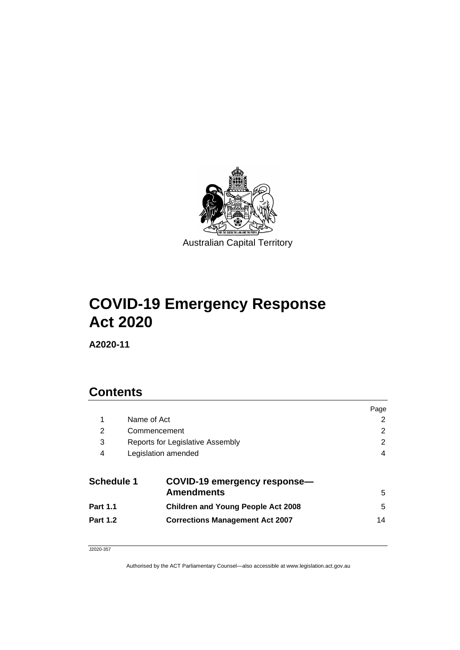

# **COVID-19 Emergency Response Act 2020**

**A2020-11**

# **Contents**

|                   |                                                   | Page |  |  |  |
|-------------------|---------------------------------------------------|------|--|--|--|
| 1                 | Name of Act                                       |      |  |  |  |
| 2                 | 2<br>Commencement                                 |      |  |  |  |
| 3                 | 2<br>Reports for Legislative Assembly             |      |  |  |  |
| 4                 | Legislation amended<br>4                          |      |  |  |  |
| <b>Schedule 1</b> | COVID-19 emergency response-<br><b>Amendments</b> | 5    |  |  |  |
| <b>Part 1.1</b>   | <b>Children and Young People Act 2008</b>         | 5    |  |  |  |
| <b>Part 1.2</b>   | <b>Corrections Management Act 2007</b>            | 14   |  |  |  |

#### J2020-357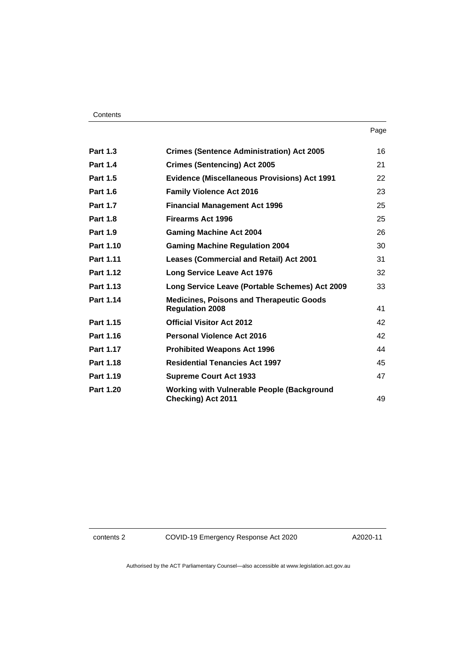| <b>Part 1.3</b> | <b>Crimes (Sentence Administration) Act 2005</b>                          | 16 |
|-----------------|---------------------------------------------------------------------------|----|
| <b>Part 1.4</b> | <b>Crimes (Sentencing) Act 2005</b>                                       | 21 |
| <b>Part 1.5</b> | <b>Evidence (Miscellaneous Provisions) Act 1991</b>                       | 22 |
| <b>Part 1.6</b> | <b>Family Violence Act 2016</b>                                           | 23 |
| <b>Part 1.7</b> | <b>Financial Management Act 1996</b>                                      | 25 |
| <b>Part 1.8</b> | <b>Firearms Act 1996</b>                                                  | 25 |
| <b>Part 1.9</b> | <b>Gaming Machine Act 2004</b>                                            | 26 |
| Part 1.10       | <b>Gaming Machine Regulation 2004</b>                                     | 30 |
| Part 1.11       | <b>Leases (Commercial and Retail) Act 2001</b>                            | 31 |
| Part 1.12       | <b>Long Service Leave Act 1976</b>                                        | 32 |
| Part 1.13       | Long Service Leave (Portable Schemes) Act 2009                            | 33 |
| Part 1.14       | <b>Medicines, Poisons and Therapeutic Goods</b><br><b>Regulation 2008</b> | 41 |
| Part 1.15       | <b>Official Visitor Act 2012</b>                                          | 42 |
| Part 1.16       | <b>Personal Violence Act 2016</b>                                         | 42 |
| Part 1.17       | <b>Prohibited Weapons Act 1996</b>                                        | 44 |
| Part 1.18       | <b>Residential Tenancies Act 1997</b>                                     | 45 |
| Part 1.19       | <b>Supreme Court Act 1933</b>                                             | 47 |
| Part 1.20       | <b>Working with Vulnerable People (Background</b><br>Checking) Act 2011   | 49 |

contents 2 COVID-19 Emergency Response Act 2020

A2020-11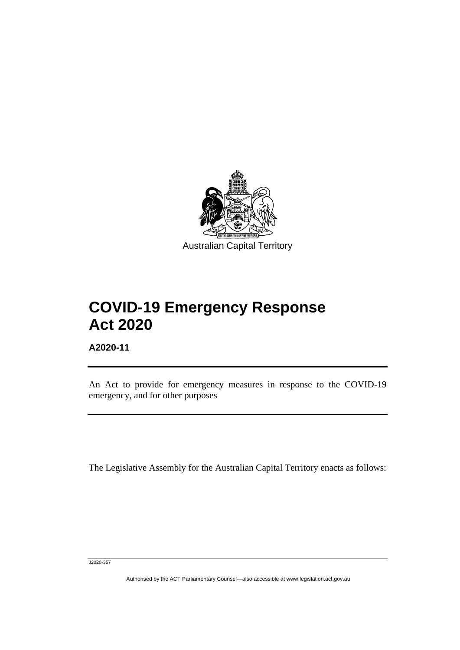

# **COVID-19 Emergency Response Act 2020**

**A2020-11**

֡֡֡

An Act to provide for emergency measures in response to the COVID-19 emergency, and for other purposes

The Legislative Assembly for the Australian Capital Territory enacts as follows:

J2020-357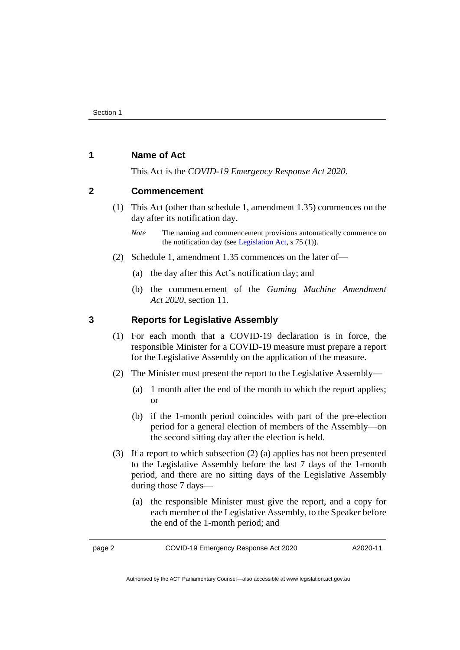#### <span id="page-3-0"></span>**1 Name of Act**

This Act is the *COVID-19 Emergency Response Act 2020*.

#### <span id="page-3-1"></span>**2 Commencement**

(1) This Act (other than schedule 1, amendment 1.35) commences on the day after its notification day.

- (2) Schedule 1, amendment 1.35 commences on the later of—
	- (a) the day after this Act's notification day; and
	- (b) the commencement of the *Gaming Machine Amendment Act 2020*, section 11.

#### <span id="page-3-2"></span>**3 Reports for Legislative Assembly**

- (1) For each month that a COVID-19 declaration is in force, the responsible Minister for a COVID-19 measure must prepare a report for the Legislative Assembly on the application of the measure.
- (2) The Minister must present the report to the Legislative Assembly—
	- (a) 1 month after the end of the month to which the report applies; or
	- (b) if the 1-month period coincides with part of the pre-election period for a general election of members of the Assembly—on the second sitting day after the election is held.
- (3) If a report to which subsection (2) (a) applies has not been presented to the Legislative Assembly before the last 7 days of the 1-month period, and there are no sitting days of the Legislative Assembly during those 7 days—
	- (a) the responsible Minister must give the report, and a copy for each member of the Legislative Assembly, to the Speaker before the end of the 1-month period; and

page 2 COVID-19 Emergency Response Act 2020

A2020-11

*Note* The naming and commencement provisions automatically commence on the notification day (see [Legislation Act,](http://www.legislation.act.gov.au/a/2001-14) s 75 (1)).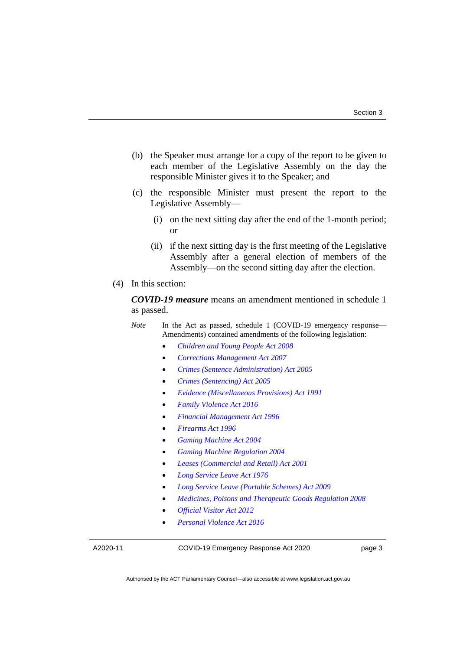- (b) the Speaker must arrange for a copy of the report to be given to each member of the Legislative Assembly on the day the responsible Minister gives it to the Speaker; and
- (c) the responsible Minister must present the report to the Legislative Assembly—
	- (i) on the next sitting day after the end of the 1-month period; or
	- (ii) if the next sitting day is the first meeting of the Legislative Assembly after a general election of members of the Assembly—on the second sitting day after the election.
- (4) In this section:

*COVID-19 measure* means an amendment mentioned in schedule 1 as passed.

*Note* In the Act as passed, schedule 1 (COVID-19 emergency response— Amendments) contained amendments of the following legislation:

- *[Children and Young People Act 2008](http://www.legislation.act.gov.au/a/2008-19)*
- *[Corrections Management Act 2007](http://www.legislation.act.gov.au/a/2007-15)*
- *[Crimes \(Sentence Administration\) Act 2005](http://www.legislation.act.gov.au/a/2005-59)*
- *[Crimes \(Sentencing\) Act 2005](http://www.legislation.act.gov.au/a/2005-58)*
- *[Evidence \(Miscellaneous Provisions\) Act 1991](http://www.legislation.act.gov.au/a/1991-34)*
- *[Family Violence Act 2016](http://www.legislation.act.gov.au/a/2016-42)*
- *[Financial Management Act 1996](http://www.legislation.act.gov.au/a/1996-22)*
- *[Firearms Act 1996](http://www.legislation.act.gov.au/a/1996-74)*
- *[Gaming Machine Act 2004](http://www.legislation.act.gov.au/a/2004-34)*
- *[Gaming Machine Regulation 2004](http://www.legislation.act.gov.au/sl/2004-30)*
- *[Leases \(Commercial and Retail\) Act 2001](http://www.legislation.act.gov.au/a/2001-18)*
- *[Long Service Leave Act 1976](http://www.legislation.act.gov.au/a/1976-27)*
- *[Long Service Leave \(Portable Schemes\) Act 2009](http://www.legislation.act.gov.au/a/2009-25)*
- *[Medicines, Poisons and Therapeutic Goods Regulation 2008](http://www.legislation.act.gov.au/sl/2008-42)*
- *[Official Visitor](http://www.legislation.act.gov.au/a/2012-33) Act 2012*
- *[Personal Violence Act 2016](http://www.legislation.act.gov.au/a/2016-43)*

A2020-11

COVID-19 Emergency Response Act 2020

page 3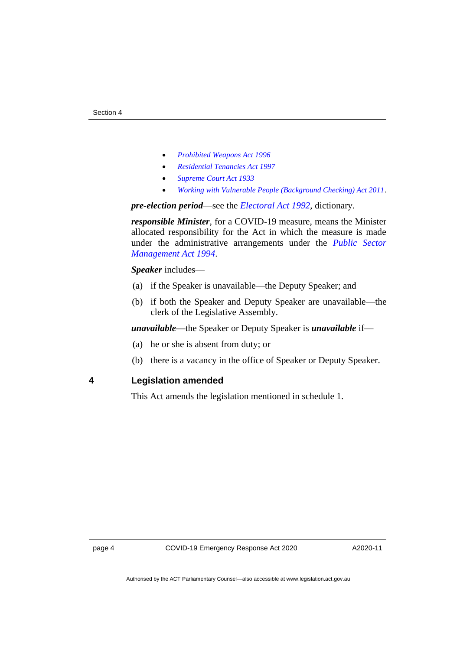- *[Prohibited Weapons Act 1996](http://www.legislation.act.gov.au/a/1996-75)*
- *[Residential Tenancies Act 1997](http://www.legislation.act.gov.au/a/1997-84)*
- *[Supreme Court Act 1933](http://www.legislation.act.gov.au/a/1933-34)*
- *[Working with Vulnerable People \(Background Checking\) Act 2011](http://www.legislation.act.gov.au/a/2011-44)*.

*pre-election period*—see the *[Electoral Act 1992](http://www.legislation.act.gov.au/a/1992-71)*, dictionary.

*responsible Minister*, for a COVID-19 measure, means the Minister allocated responsibility for the Act in which the measure is made under the administrative arrangements under the *[Public Sector](http://www.legislation.act.gov.au/a/1994-37)  [Management Act 1994](http://www.legislation.act.gov.au/a/1994-37)*.

#### *Speaker* includes—

- (a) if the Speaker is unavailable—the Deputy Speaker; and
- (b) if both the Speaker and Deputy Speaker are unavailable—the clerk of the Legislative Assembly.

*unavailable—*the Speaker or Deputy Speaker is *unavailable* if—

- (a) he or she is absent from duty; or
- (b) there is a vacancy in the office of Speaker or Deputy Speaker.

<span id="page-5-0"></span>**4 Legislation amended**

This Act amends the legislation mentioned in schedule 1.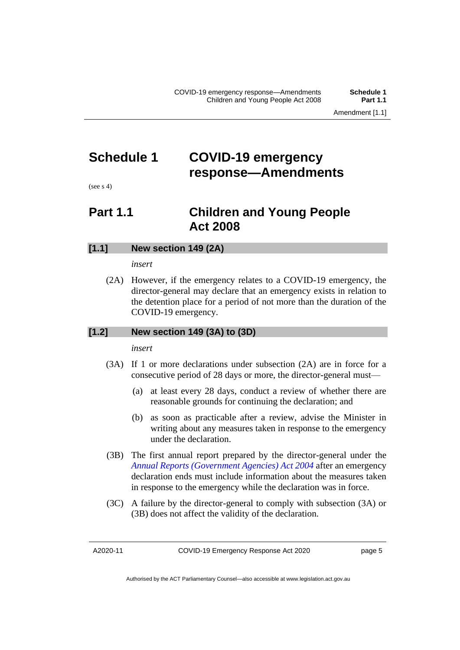### <span id="page-6-0"></span>**Schedule 1 COVID-19 emergency response—Amendments**

<span id="page-6-1"></span> $(see s 4)$ 

### **Part 1.1 Children and Young People Act 2008**

#### **[1.1] New section 149 (2A)**

#### *insert*

(2A) However, if the emergency relates to a COVID-19 emergency, the director-general may declare that an emergency exists in relation to the detention place for a period of not more than the duration of the COVID-19 emergency.

#### **[1.2] New section 149 (3A) to (3D)**

*insert*

- (3A) If 1 or more declarations under subsection (2A) are in force for a consecutive period of 28 days or more, the director-general must—
	- (a) at least every 28 days, conduct a review of whether there are reasonable grounds for continuing the declaration; and
	- (b) as soon as practicable after a review, advise the Minister in writing about any measures taken in response to the emergency under the declaration.
- (3B) The first annual report prepared by the director-general under the *[Annual Reports \(Government Agencies\) Act 2004](http://www.legislation.act.gov.au/a/2004-8)* after an emergency declaration ends must include information about the measures taken in response to the emergency while the declaration was in force.
- (3C) A failure by the director-general to comply with subsection (3A) or (3B) does not affect the validity of the declaration.

A2020-11

Authorised by the ACT Parliamentary Counsel—also accessible at www.legislation.act.gov.au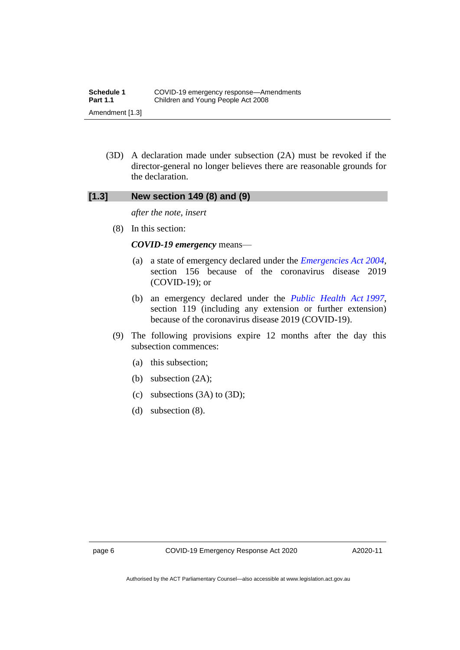(3D) A declaration made under subsection (2A) must be revoked if the director-general no longer believes there are reasonable grounds for the declaration.

#### **[1.3] New section 149 (8) and (9)**

*after the note, insert*

(8) In this section:

#### *COVID-19 emergency* means—

- (a) a state of emergency declared under the *[Emergencies Act](http://www.legislation.act.gov.au/a/2004-28) 2004*, section 156 because of the coronavirus disease 2019 (COVID-19); or
- (b) an emergency declared under the *[Public Health Act](http://www.legislation.act.gov.au/a/1997-69) 1997*, section 119 (including any extension or further extension) because of the coronavirus disease 2019 (COVID-19).
- (9) The following provisions expire 12 months after the day this subsection commences:
	- (a) this subsection;
	- (b) subsection (2A);
	- (c) subsections (3A) to (3D);
	- (d) subsection (8).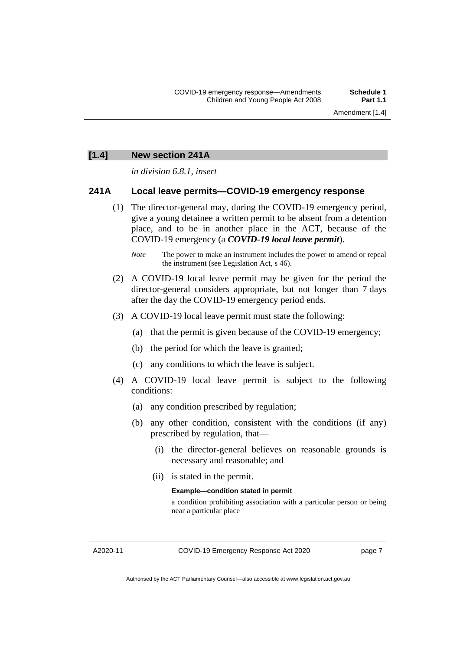Amendment [1.4]

#### **[1.4] New section 241A**

*in division 6.8.1, insert*

#### **241A Local leave permits—COVID-19 emergency response**

- (1) The director-general may, during the COVID-19 emergency period, give a young detainee a written permit to be absent from a detention place, and to be in another place in the ACT, because of the COVID-19 emergency (a *COVID-19 local leave permit*).
	- *Note* The power to make an instrument includes the power to amend or repeal the instrument (see Legislation Act, s 46).
- (2) A COVID-19 local leave permit may be given for the period the director-general considers appropriate, but not longer than 7 days after the day the COVID-19 emergency period ends.
- (3) A COVID-19 local leave permit must state the following:
	- (a) that the permit is given because of the COVID-19 emergency;
	- (b) the period for which the leave is granted;
	- (c) any conditions to which the leave is subject.
- (4) A COVID-19 local leave permit is subject to the following conditions:
	- (a) any condition prescribed by regulation;
	- (b) any other condition, consistent with the conditions (if any) prescribed by regulation, that—
		- (i) the director-general believes on reasonable grounds is necessary and reasonable; and
		- (ii) is stated in the permit.

#### **Example—condition stated in permit**

a condition prohibiting association with a particular person or being near a particular place

A2020-11

COVID-19 Emergency Response Act 2020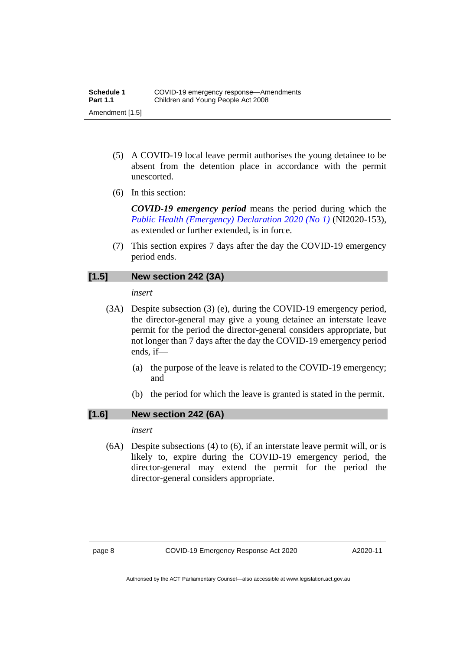- (5) A COVID-19 local leave permit authorises the young detainee to be absent from the detention place in accordance with the permit unescorted.
- (6) In this section:

*COVID-19 emergency period* means the period during which the *[Public Health \(Emergency\) Declaration 2020 \(No](https://legislation.act.gov.au/ni/2020-153/) 1)* (NI2020-153), as extended or further extended, is in force.

(7) This section expires 7 days after the day the COVID-19 emergency period ends.

#### **[1.5] New section 242 (3A)**

#### *insert*

- (3A) Despite subsection (3) (e), during the COVID-19 emergency period, the director-general may give a young detainee an interstate leave permit for the period the director-general considers appropriate, but not longer than 7 days after the day the COVID-19 emergency period ends, if—
	- (a) the purpose of the leave is related to the COVID-19 emergency; and
	- (b) the period for which the leave is granted is stated in the permit.

#### **[1.6] New section 242 (6A)**

#### *insert*

(6A) Despite subsections (4) to (6), if an interstate leave permit will, or is likely to, expire during the COVID-19 emergency period, the director-general may extend the permit for the period the director-general considers appropriate.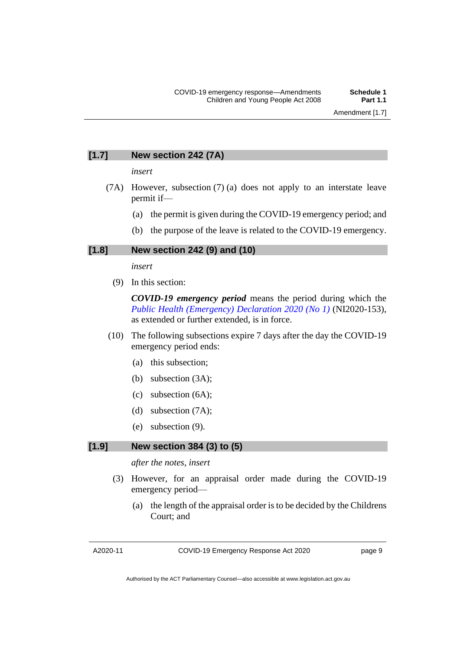#### **[1.7] New section 242 (7A)**

*insert*

- (7A) However, subsection (7) (a) does not apply to an interstate leave permit if—
	- (a) the permit is given during the COVID-19 emergency period; and
	- (b) the purpose of the leave is related to the COVID-19 emergency.

#### **[1.8] New section 242 (9) and (10)**

#### *insert*

(9) In this section:

*COVID-19 emergency period* means the period during which the *[Public Health \(Emergency\) Declaration 2020 \(No](https://legislation.act.gov.au/ni/2020-153/) 1)* (NI2020-153), as extended or further extended, is in force.

- (10) The following subsections expire 7 days after the day the COVID-19 emergency period ends:
	- (a) this subsection;
	- (b) subsection (3A);
	- (c) subsection (6A);
	- (d) subsection (7A);
	- (e) subsection (9).

#### **[1.9] New section 384 (3) to (5)**

#### *after the notes, insert*

- (3) However, for an appraisal order made during the COVID-19 emergency period—
	- (a) the length of the appraisal order is to be decided by the Childrens Court; and

COVID-19 Emergency Response Act 2020

page 9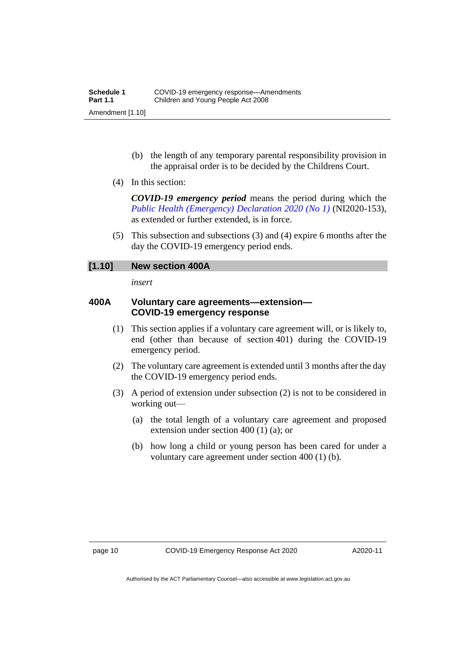- (b) the length of any temporary parental responsibility provision in the appraisal order is to be decided by the Childrens Court.
- (4) In this section:

*COVID-19 emergency period* means the period during which the *[Public Health \(Emergency\) Declaration 2020 \(No](https://legislation.act.gov.au/ni/2020-153/) 1)* (NI2020-153), as extended or further extended, is in force.

(5) This subsection and subsections (3) and (4) expire 6 months after the day the COVID-19 emergency period ends.

#### **[1.10] New section 400A**

*insert*

#### **400A Voluntary care agreements—extension— COVID-19 emergency response**

- (1) This section applies if a voluntary care agreement will, or is likely to, end (other than because of section 401) during the COVID-19 emergency period.
- (2) The voluntary care agreement is extended until 3 months after the day the COVID-19 emergency period ends.
- (3) A period of extension under subsection (2) is not to be considered in working out—
	- (a) the total length of a voluntary care agreement and proposed extension under section 400 (1) (a); or
	- (b) how long a child or young person has been cared for under a voluntary care agreement under section 400 (1) (b).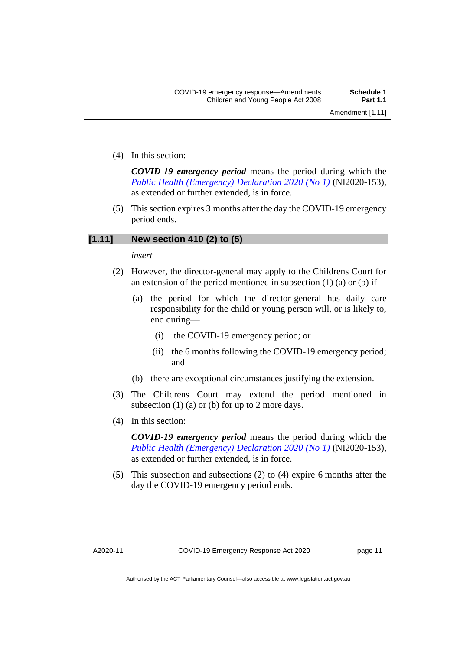(4) In this section:

*COVID-19 emergency period* means the period during which the *[Public Health \(Emergency\) Declaration 2020 \(No](https://legislation.act.gov.au/ni/2020-153/) 1)* (NI2020-153), as extended or further extended, is in force.

(5) This section expires 3 months after the day the COVID-19 emergency period ends.

#### **[1.11] New section 410 (2) to (5)**

#### *insert*

- (2) However, the director-general may apply to the Childrens Court for an extension of the period mentioned in subsection  $(1)$   $(a)$  or  $(b)$  if—
	- (a) the period for which the director-general has daily care responsibility for the child or young person will, or is likely to, end during—
		- (i) the COVID-19 emergency period; or
		- (ii) the 6 months following the COVID-19 emergency period; and
	- (b) there are exceptional circumstances justifying the extension.
- (3) The Childrens Court may extend the period mentioned in subsection  $(1)$  (a) or (b) for up to 2 more days.
- (4) In this section:

*COVID-19 emergency period* means the period during which the *[Public Health \(Emergency\) Declaration 2020 \(No](https://legislation.act.gov.au/ni/2020-153/) 1)* (NI2020-153), as extended or further extended, is in force.

(5) This subsection and subsections (2) to (4) expire 6 months after the day the COVID-19 emergency period ends.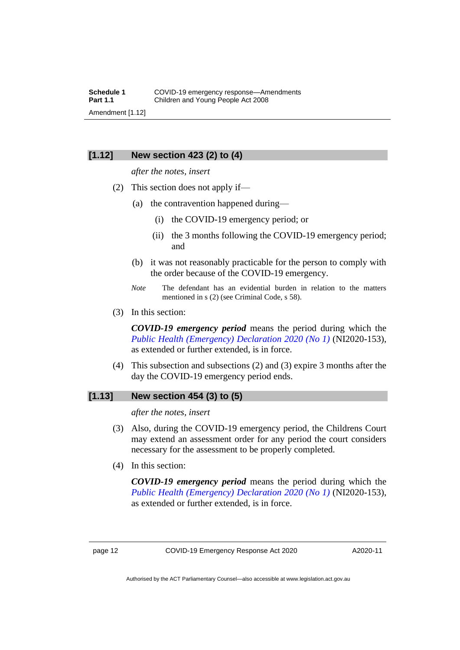#### **[1.12] New section 423 (2) to (4)**

*after the notes, insert*

- (2) This section does not apply if—
	- (a) the contravention happened during—
		- (i) the COVID-19 emergency period; or
		- (ii) the 3 months following the COVID-19 emergency period; and
	- (b) it was not reasonably practicable for the person to comply with the order because of the COVID-19 emergency.
	- *Note* The defendant has an evidential burden in relation to the matters mentioned in s (2) (see Criminal Code, s 58).
- (3) In this section:

*COVID-19 emergency period* means the period during which the *[Public Health \(Emergency\) Declaration 2020 \(No](https://legislation.act.gov.au/ni/2020-153/) 1)* (NI2020-153), as extended or further extended, is in force.

(4) This subsection and subsections (2) and (3) expire 3 months after the day the COVID-19 emergency period ends.

#### **[1.13] New section 454 (3) to (5)**

*after the notes, insert*

- (3) Also, during the COVID-19 emergency period, the Childrens Court may extend an assessment order for any period the court considers necessary for the assessment to be properly completed.
- (4) In this section:

*COVID-19 emergency period* means the period during which the *[Public Health \(Emergency\) Declaration 2020 \(No](https://legislation.act.gov.au/ni/2020-153/) 1)* (NI2020-153), as extended or further extended, is in force.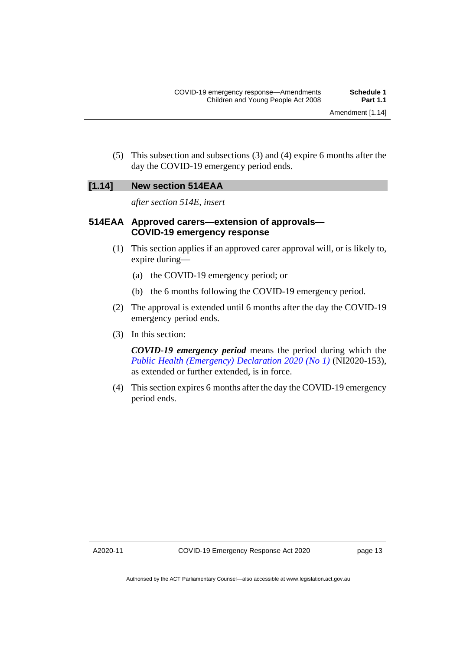(5) This subsection and subsections (3) and (4) expire 6 months after the day the COVID-19 emergency period ends.

#### **[1.14] New section 514EAA**

*after section 514E, insert*

#### **514EAA Approved carers—extension of approvals— COVID-19 emergency response**

- (1) This section applies if an approved carer approval will, or is likely to, expire during—
	- (a) the COVID-19 emergency period; or
	- (b) the 6 months following the COVID-19 emergency period.
- (2) The approval is extended until 6 months after the day the COVID-19 emergency period ends.
- (3) In this section:

*COVID-19 emergency period* means the period during which the *[Public Health \(Emergency\) Declaration 2020 \(No](https://legislation.act.gov.au/ni/2020-153/) 1)* (NI2020-153), as extended or further extended, is in force.

(4) This section expires 6 months after the day the COVID-19 emergency period ends.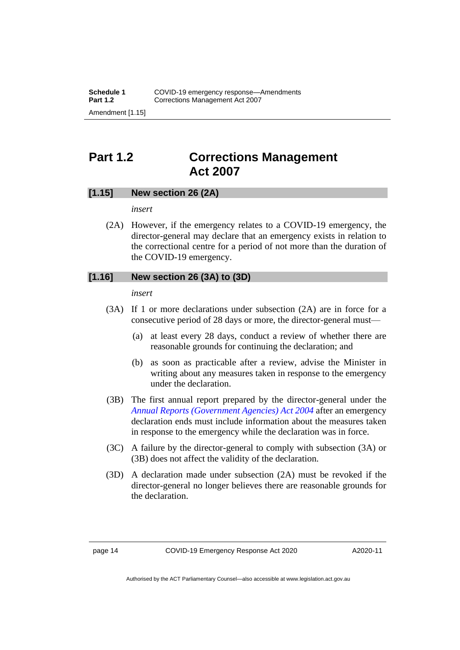# <span id="page-15-0"></span>**Part 1.2 Corrections Management Act 2007**

#### **[1.15] New section 26 (2A)**

*insert*

(2A) However, if the emergency relates to a COVID-19 emergency, the director-general may declare that an emergency exists in relation to the correctional centre for a period of not more than the duration of the COVID-19 emergency.

#### **[1.16] New section 26 (3A) to (3D)**

*insert*

- (3A) If 1 or more declarations under subsection (2A) are in force for a consecutive period of 28 days or more, the director-general must—
	- (a) at least every 28 days, conduct a review of whether there are reasonable grounds for continuing the declaration; and
	- (b) as soon as practicable after a review, advise the Minister in writing about any measures taken in response to the emergency under the declaration.
- (3B) The first annual report prepared by the director-general under the *[Annual Reports \(Government Agencies\) Act 2004](http://www.legislation.act.gov.au/a/2004-8)* after an emergency declaration ends must include information about the measures taken in response to the emergency while the declaration was in force.
- (3C) A failure by the director-general to comply with subsection (3A) or (3B) does not affect the validity of the declaration.
- (3D) A declaration made under subsection (2A) must be revoked if the director-general no longer believes there are reasonable grounds for the declaration.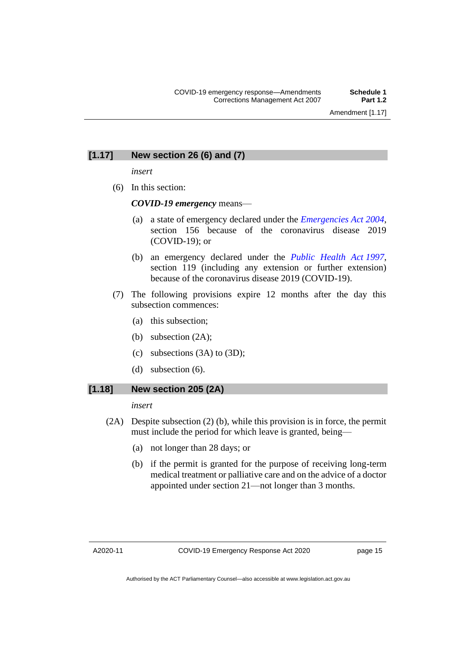#### **[1.17] New section 26 (6) and (7)**

*insert*

(6) In this section:

*COVID-19 emergency* means—

- (a) a state of emergency declared under the *[Emergencies Act](http://www.legislation.act.gov.au/a/2004-28) 2004*, section 156 because of the coronavirus disease 2019 (COVID-19); or
- (b) an emergency declared under the *[Public Health Act](http://www.legislation.act.gov.au/a/1997-69) 1997*, section 119 (including any extension or further extension) because of the coronavirus disease 2019 (COVID-19).
- (7) The following provisions expire 12 months after the day this subsection commences:
	- (a) this subsection;
	- (b) subsection (2A);
	- (c) subsections (3A) to (3D);
	- (d) subsection (6).

#### **[1.18] New section 205 (2A)**

*insert*

- (2A) Despite subsection (2) (b), while this provision is in force, the permit must include the period for which leave is granted, being—
	- (a) not longer than 28 days; or
	- (b) if the permit is granted for the purpose of receiving long-term medical treatment or palliative care and on the advice of a doctor appointed under section 21—not longer than 3 months.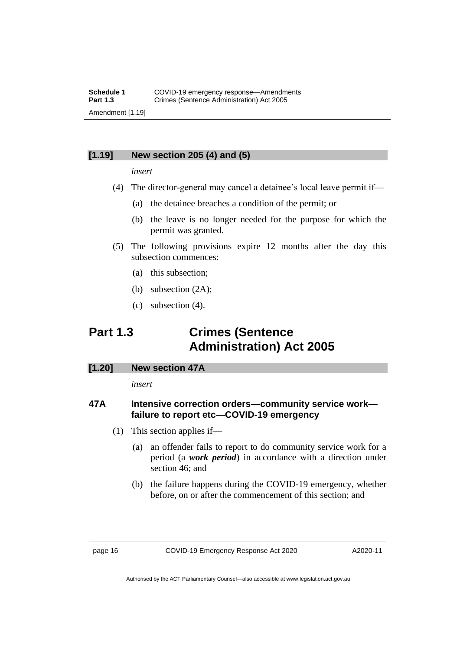#### **[1.19] New section 205 (4) and (5)**

#### *insert*

- (4) The director-general may cancel a detainee's local leave permit if—
	- (a) the detainee breaches a condition of the permit; or
	- (b) the leave is no longer needed for the purpose for which the permit was granted.
- (5) The following provisions expire 12 months after the day this subsection commences:
	- (a) this subsection;
	- (b) subsection (2A);
	- (c) subsection (4).

# <span id="page-17-0"></span>**Part 1.3 Crimes (Sentence Administration) Act 2005**

#### **[1.20] New section 47A**

*insert*

#### **47A Intensive correction orders—community service work failure to report etc—COVID-19 emergency**

- (1) This section applies if—
	- (a) an offender fails to report to do community service work for a period (a *work period*) in accordance with a direction under section 46; and
	- (b) the failure happens during the COVID-19 emergency, whether before, on or after the commencement of this section; and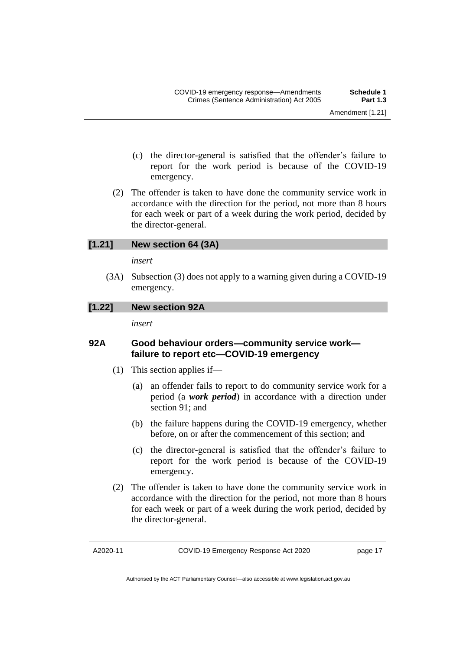- (c) the director-general is satisfied that the offender's failure to report for the work period is because of the COVID-19 emergency.
- (2) The offender is taken to have done the community service work in accordance with the direction for the period, not more than 8 hours for each week or part of a week during the work period, decided by the director-general.

#### **[1.21] New section 64 (3A)**

*insert*

(3A) Subsection (3) does not apply to a warning given during a COVID-19 emergency.

#### **[1.22] New section 92A**

*insert*

#### **92A Good behaviour orders—community service work failure to report etc—COVID-19 emergency**

- (1) This section applies if—
	- (a) an offender fails to report to do community service work for a period (a *work period*) in accordance with a direction under section 91; and
	- (b) the failure happens during the COVID-19 emergency, whether before, on or after the commencement of this section; and
	- (c) the director-general is satisfied that the offender's failure to report for the work period is because of the COVID-19 emergency.
- (2) The offender is taken to have done the community service work in accordance with the direction for the period, not more than 8 hours for each week or part of a week during the work period, decided by the director-general.

A2020-11

Authorised by the ACT Parliamentary Counsel—also accessible at www.legislation.act.gov.au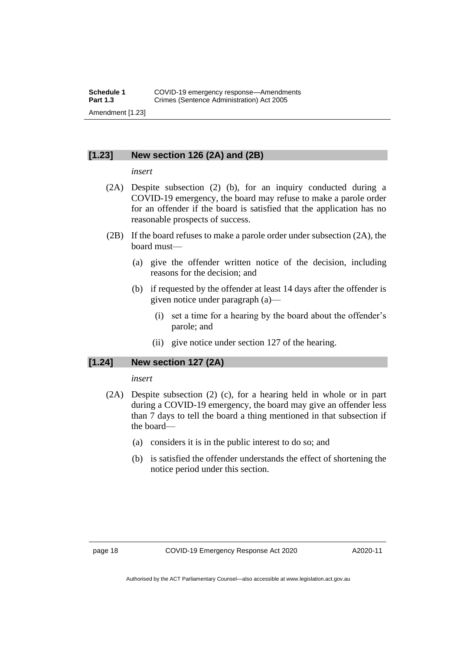#### **[1.23] New section 126 (2A) and (2B)**

#### *insert*

- (2A) Despite subsection (2) (b), for an inquiry conducted during a COVID-19 emergency, the board may refuse to make a parole order for an offender if the board is satisfied that the application has no reasonable prospects of success.
- (2B) If the board refuses to make a parole order under subsection (2A), the board must—
	- (a) give the offender written notice of the decision, including reasons for the decision; and
	- (b) if requested by the offender at least 14 days after the offender is given notice under paragraph (a)—
		- (i) set a time for a hearing by the board about the offender's parole; and
		- (ii) give notice under section 127 of the hearing.

#### **[1.24] New section 127 (2A)**

*insert*

- (2A) Despite subsection (2) (c), for a hearing held in whole or in part during a COVID-19 emergency, the board may give an offender less than 7 days to tell the board a thing mentioned in that subsection if the board—
	- (a) considers it is in the public interest to do so; and
	- (b) is satisfied the offender understands the effect of shortening the notice period under this section.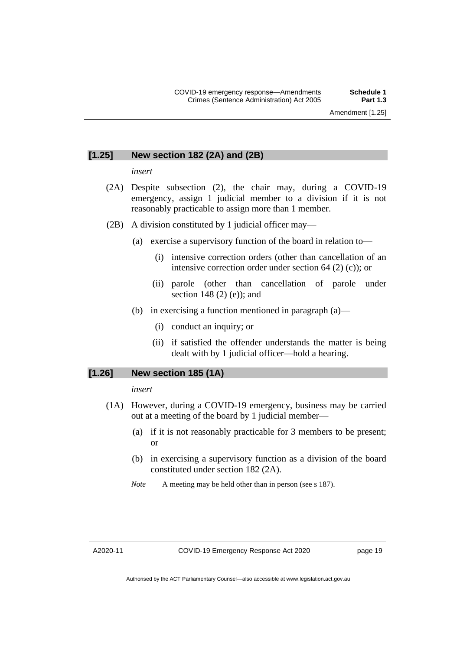#### **[1.25] New section 182 (2A) and (2B)**

#### *insert*

- (2A) Despite subsection (2), the chair may, during a COVID-19 emergency, assign 1 judicial member to a division if it is not reasonably practicable to assign more than 1 member.
- (2B) A division constituted by 1 judicial officer may—
	- (a) exercise a supervisory function of the board in relation to—
		- (i) intensive correction orders (other than cancellation of an intensive correction order under section 64 (2) (c)); or
		- (ii) parole (other than cancellation of parole under section 148 (2) (e)); and
	- (b) in exercising a function mentioned in paragraph (a)—
		- (i) conduct an inquiry; or
		- (ii) if satisfied the offender understands the matter is being dealt with by 1 judicial officer—hold a hearing.

#### **[1.26] New section 185 (1A)**

*insert*

- (1A) However, during a COVID-19 emergency, business may be carried out at a meeting of the board by 1 judicial member—
	- (a) if it is not reasonably practicable for 3 members to be present; or
	- (b) in exercising a supervisory function as a division of the board constituted under section 182 (2A).
	- *Note* A meeting may be held other than in person (see s 187).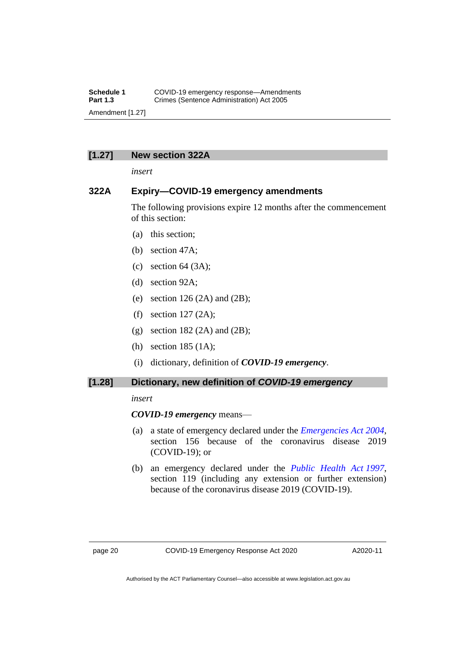#### **[1.27] New section 322A**

*insert*

#### **322A Expiry—COVID-19 emergency amendments**

The following provisions expire 12 months after the commencement of this section:

- (a) this section;
- (b) section 47A;
- (c) section  $64 \text{ (3A)}$ ;
- (d) section 92A;
- (e) section  $126(2A)$  and  $(2B)$ ;
- (f) section 127 (2A);
- (g) section 182 (2A) and (2B);
- (h) section 185 (1A);
- (i) dictionary, definition of *COVID-19 emergency*.

#### **[1.28] Dictionary, new definition of** *COVID-19 emergency*

#### *insert*

#### *COVID-19 emergency* means—

- (a) a state of emergency declared under the *[Emergencies Act](http://www.legislation.act.gov.au/a/2004-28) 2004*, section 156 because of the coronavirus disease 2019 (COVID-19); or
- (b) an emergency declared under the *[Public Health Act](http://www.legislation.act.gov.au/a/1997-69) 1997*, section 119 (including any extension or further extension) because of the coronavirus disease 2019 (COVID-19).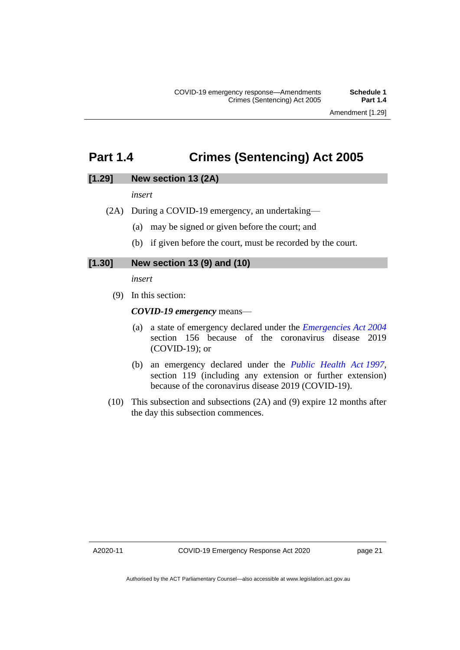### <span id="page-22-0"></span>**Part 1.4 Crimes (Sentencing) Act 2005**

#### **[1.29] New section 13 (2A)**

*insert*

- (2A) During a COVID-19 emergency, an undertaking—
	- (a) may be signed or given before the court; and
	- (b) if given before the court, must be recorded by the court.

#### **[1.30] New section 13 (9) and (10)**

*insert*

(9) In this section:

*COVID-19 emergency* means—

- (a) a state of emergency declared under the *[Emergencies Act](http://www.legislation.act.gov.au/a/2004-28) 2004* section 156 because of the coronavirus disease 2019 (COVID-19); or
- (b) an emergency declared under the *[Public Health Act](http://www.legislation.act.gov.au/a/1997-69) 1997*, section 119 (including any extension or further extension) because of the coronavirus disease 2019 (COVID-19).
- (10) This subsection and subsections (2A) and (9) expire 12 months after the day this subsection commences.

A2020-11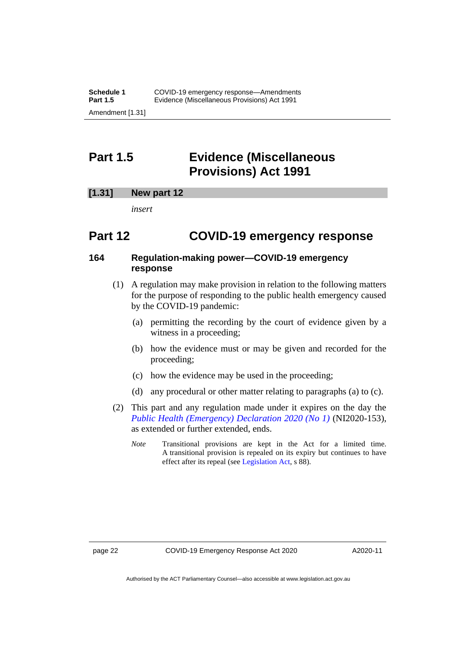## <span id="page-23-0"></span>**Part 1.5 Evidence (Miscellaneous Provisions) Act 1991**

#### **[1.31] New part 12**

*insert*

### **Part 12 COVID-19 emergency response**

#### **164 Regulation-making power—COVID-19 emergency response**

- (1) A regulation may make provision in relation to the following matters for the purpose of responding to the public health emergency caused by the COVID-19 pandemic:
	- (a) permitting the recording by the court of evidence given by a witness in a proceeding;
	- (b) how the evidence must or may be given and recorded for the proceeding;
	- (c) how the evidence may be used in the proceeding;
	- (d) any procedural or other matter relating to paragraphs (a) to (c).
- (2) This part and any regulation made under it expires on the day the *[Public Health \(Emergency\) Declaration 2020 \(No 1\)](https://legislation.act.gov.au/ni/2020-153/)* (NI2020-153), as extended or further extended, ends.
	- *Note* Transitional provisions are kept in the Act for a limited time. A transitional provision is repealed on its expiry but continues to have effect after its repeal (se[e Legislation Act,](http://www.legislation.act.gov.au/a/2001-14) s 88).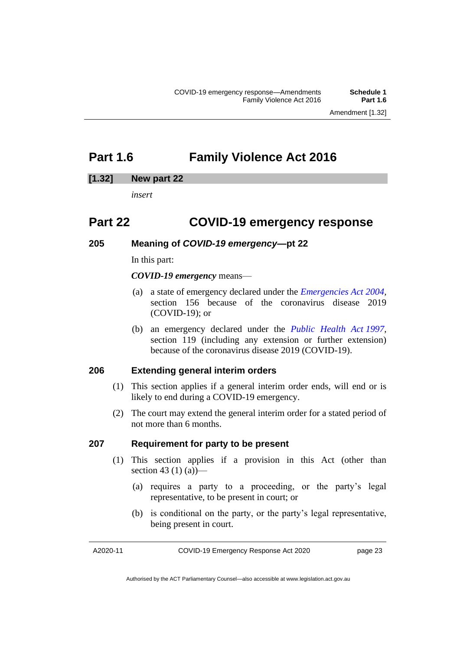# <span id="page-24-0"></span>**Part 1.6 Family Violence Act 2016**

#### **[1.32] New part 22**

*insert*

### **Part 22 COVID-19 emergency response**

#### **205 Meaning of** *COVID-19 emergency***—pt 22**

In this part:

#### *COVID-19 emergency* means—

- (a) a state of emergency declared under the *[Emergencies Act 2004,](http://www.legislation.act.gov.au/a/2004-28)*  section 156 because of the coronavirus disease 2019 (COVID-19); or
- (b) an emergency declared under the *[Public Health Act](http://www.legislation.act.gov.au/a/1997-69) 1997*, section 119 (including any extension or further extension) because of the coronavirus disease 2019 (COVID-19).

#### **206 Extending general interim orders**

- (1) This section applies if a general interim order ends, will end or is likely to end during a COVID-19 emergency.
- (2) The court may extend the general interim order for a stated period of not more than 6 months.

#### **207 Requirement for party to be present**

- (1) This section applies if a provision in this Act (other than section 43 (1) (a)
	- (a) requires a party to a proceeding, or the party's legal representative, to be present in court; or
	- (b) is conditional on the party, or the party's legal representative, being present in court.

A2020-11

Authorised by the ACT Parliamentary Counsel—also accessible at www.legislation.act.gov.au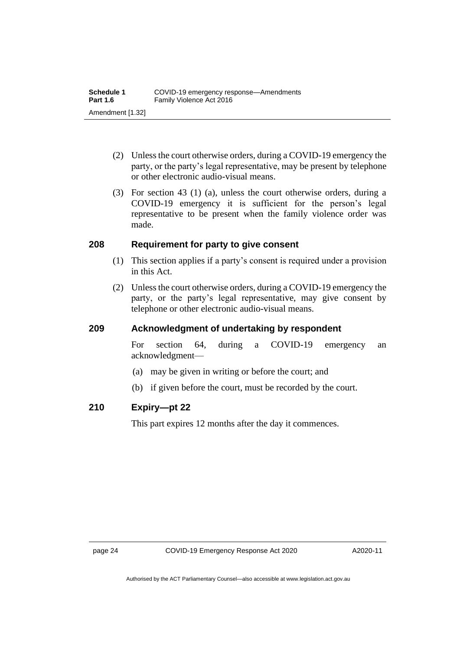- (2) Unless the court otherwise orders, during a COVID-19 emergency the party, or the party's legal representative, may be present by telephone or other electronic audio-visual means.
- (3) For section 43 (1) (a), unless the court otherwise orders, during a COVID-19 emergency it is sufficient for the person's legal representative to be present when the family violence order was made.

#### **208 Requirement for party to give consent**

- (1) This section applies if a party's consent is required under a provision in this Act.
- (2) Unless the court otherwise orders, during a COVID-19 emergency the party, or the party's legal representative, may give consent by telephone or other electronic audio-visual means.

#### **209 Acknowledgment of undertaking by respondent**

For section 64, during a COVID-19 emergency an acknowledgment—

- (a) may be given in writing or before the court; and
- (b) if given before the court, must be recorded by the court.

#### **210 Expiry—pt 22**

This part expires 12 months after the day it commences.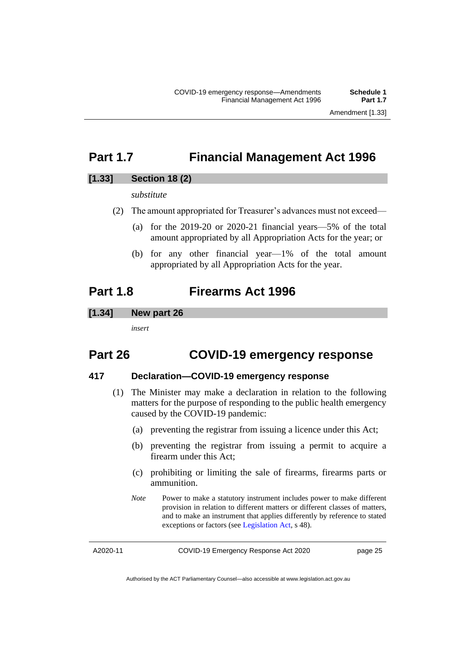### <span id="page-26-0"></span>**Part 1.7 Financial Management Act 1996**

#### **[1.33] Section 18 (2)**

*substitute*

- (2) The amount appropriated for Treasurer's advances must not exceed—
	- (a) for the 2019-20 or 2020-21 financial years—5% of the total amount appropriated by all Appropriation Acts for the year; or
	- (b) for any other financial year—1% of the total amount appropriated by all Appropriation Acts for the year.

### <span id="page-26-1"></span>**Part 1.8 Firearms Act 1996**

#### **[1.34] New part 26**

*insert*

### **Part 26 COVID-19 emergency response**

#### **417 Declaration—COVID-19 emergency response**

- (1) The Minister may make a declaration in relation to the following matters for the purpose of responding to the public health emergency caused by the COVID-19 pandemic:
	- (a) preventing the registrar from issuing a licence under this Act;
	- (b) preventing the registrar from issuing a permit to acquire a firearm under this Act;
	- (c) prohibiting or limiting the sale of firearms, firearms parts or ammunition.
	- *Note* Power to make a statutory instrument includes power to make different provision in relation to different matters or different classes of matters, and to make an instrument that applies differently by reference to stated exceptions or factors (see [Legislation Act,](http://www.legislation.act.gov.au/a/2001-14) s 48).

A2020-11

COVID-19 Emergency Response Act 2020

page 25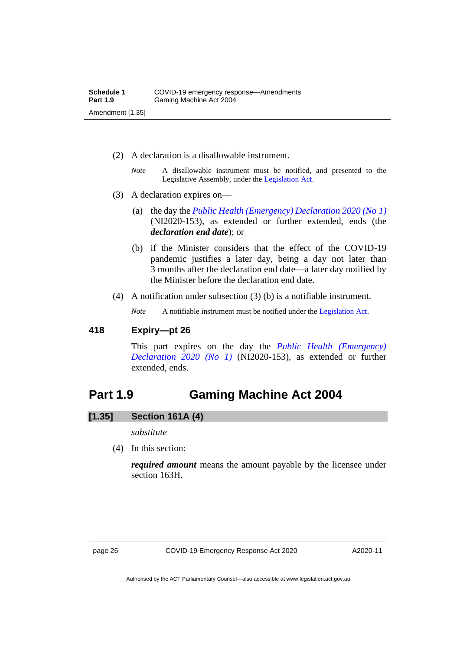- (2) A declaration is a disallowable instrument.
	- *Note* A disallowable instrument must be notified, and presented to the Legislative Assembly, under the [Legislation Act.](http://www.legislation.act.gov.au/a/2001-14)
- (3) A declaration expires on—
	- (a) the day the *[Public Health \(Emergency\) Declaration 2020 \(No](https://legislation.act.gov.au/ni/2020-153/) 1)* (NI2020-153), as extended or further extended, ends (the *declaration end date*); or
	- (b) if the Minister considers that the effect of the COVID-19 pandemic justifies a later day, being a day not later than 3 months after the declaration end date—a later day notified by the Minister before the declaration end date.
- (4) A notification under subsection (3) (b) is a notifiable instrument.

*Note* A notifiable instrument must be notified under the [Legislation Act.](http://www.legislation.act.gov.au/a/2001-14)

#### **418 Expiry—pt 26**

This part expires on the day the *[Public Health \(Emergency\)](https://legislation.act.gov.au/ni/2020-153/)  [Declaration 2020 \(No 1\)](https://legislation.act.gov.au/ni/2020-153/)* (NI2020-153), as extended or further extended, ends.

### <span id="page-27-0"></span>**Part 1.9 Gaming Machine Act 2004**

#### **[1.35] Section 161A (4)**

*substitute*

(4) In this section:

*required amount* means the amount payable by the licensee under section 163H.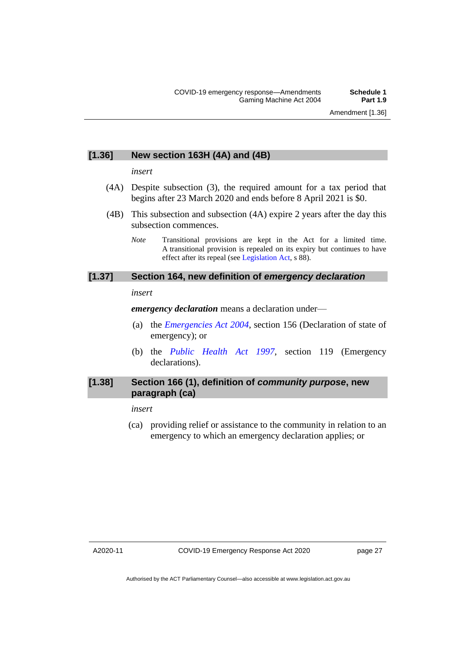#### **[1.36] New section 163H (4A) and (4B)**

#### *insert*

- (4A) Despite subsection (3), the required amount for a tax period that begins after 23 March 2020 and ends before 8 April 2021 is \$0.
- (4B) This subsection and subsection (4A) expire 2 years after the day this subsection commences.
	- *Note* Transitional provisions are kept in the Act for a limited time. A transitional provision is repealed on its expiry but continues to have effect after its repeal (se[e Legislation Act,](http://www.legislation.act.gov.au/a/2001-14) s 88).

#### **[1.37] Section 164, new definition of** *emergency declaration*

#### *insert*

*emergency declaration* means a declaration under—

- (a) the *[Emergencies Act 2004](http://www.legislation.act.gov.au/a/2004-28)*, section 156 (Declaration of state of emergency); or
- (b) the *[Public Health Act 1997](http://www.legislation.act.gov.au/a/1997-69)*, section 119 (Emergency declarations).

#### **[1.38] Section 166 (1), definition of** *community purpose***, new paragraph (ca)**

#### *insert*

(ca) providing relief or assistance to the community in relation to an emergency to which an emergency declaration applies; or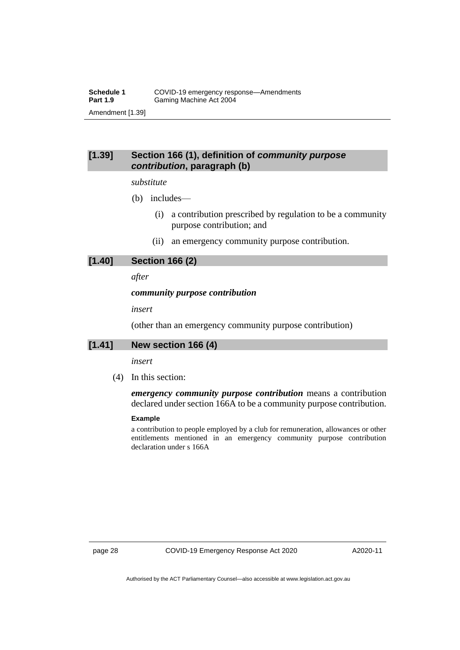#### **[1.39] Section 166 (1), definition of** *community purpose contribution***, paragraph (b)**

#### *substitute*

- (b) includes—
	- (i) a contribution prescribed by regulation to be a community purpose contribution; and
	- (ii) an emergency community purpose contribution.

#### **[1.40] Section 166 (2)**

*after*

#### *community purpose contribution*

*insert*

(other than an emergency community purpose contribution)

#### **[1.41] New section 166 (4)**

#### *insert*

(4) In this section:

*emergency community purpose contribution* means a contribution declared under section 166A to be a community purpose contribution.

#### **Example**

a contribution to people employed by a club for remuneration, allowances or other entitlements mentioned in an emergency community purpose contribution declaration under s 166A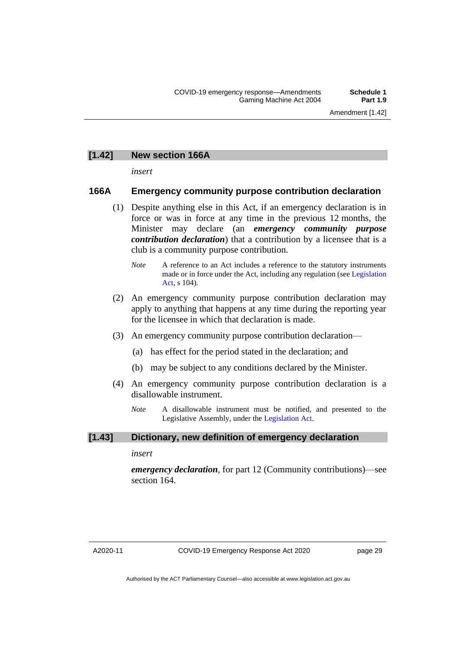#### **[1.42] New section 166A**

*insert*

#### **166A Emergency community purpose contribution declaration**

- (1) Despite anything else in this Act, if an emergency declaration is in force or was in force at any time in the previous 12 months, the Minister may declare (an *emergency community purpose contribution declaration*) that a contribution by a licensee that is a club is a community purpose contribution.
	- *Note* A reference to an Act includes a reference to the statutory instruments made or in force under the Act, including any regulation (se[e Legislation](http://www.legislation.act.gov.au/a/2001-14)  [Act,](http://www.legislation.act.gov.au/a/2001-14) s 104).
- (2) An emergency community purpose contribution declaration may apply to anything that happens at any time during the reporting year for the licensee in which that declaration is made.
- (3) An emergency community purpose contribution declaration—
	- (a) has effect for the period stated in the declaration; and
	- (b) may be subject to any conditions declared by the Minister.
- (4) An emergency community purpose contribution declaration is a disallowable instrument.
	- *Note* A disallowable instrument must be notified, and presented to the Legislative Assembly, under the [Legislation Act.](http://www.legislation.act.gov.au/a/2001-14)

#### **[1.43] Dictionary, new definition of emergency declaration**

*insert*

*emergency declaration*, for part 12 (Community contributions)—see section 164.

A2020-11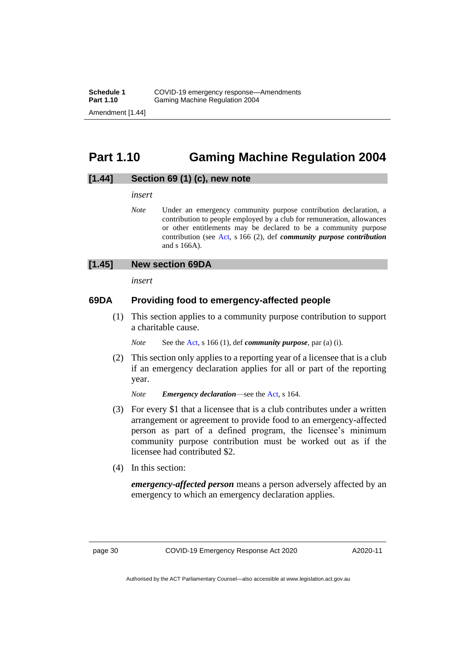# <span id="page-31-0"></span>**Part 1.10 Gaming Machine Regulation 2004**

#### **[1.44] Section 69 (1) (c), new note**

*insert*

*Note* Under an emergency community purpose contribution declaration, a contribution to people employed by a club for remuneration, allowances or other entitlements may be declared to be a community purpose contribution (see [Act,](https://legislation.act.gov.au/a/2004-34/) s 166 (2), def *community purpose contribution* and s 166A).

#### **[1.45] New section 69DA**

*insert*

#### **69DA Providing food to emergency-affected people**

(1) This section applies to a community purpose contribution to support a charitable cause.

*Note* See th[e Act,](https://legislation.act.gov.au/a/2004-34/) s 166 (1), def *community purpose*, par (a) (i).

(2) This section only applies to a reporting year of a licensee that is a club if an emergency declaration applies for all or part of the reporting year.

*Note Emergency declaration*—see the [Act,](https://legislation.act.gov.au/a/2004-34/) s 164.

- (3) For every \$1 that a licensee that is a club contributes under a written arrangement or agreement to provide food to an emergency-affected person as part of a defined program, the licensee's minimum community purpose contribution must be worked out as if the licensee had contributed \$2.
- (4) In this section:

*emergency-affected person* means a person adversely affected by an emergency to which an emergency declaration applies.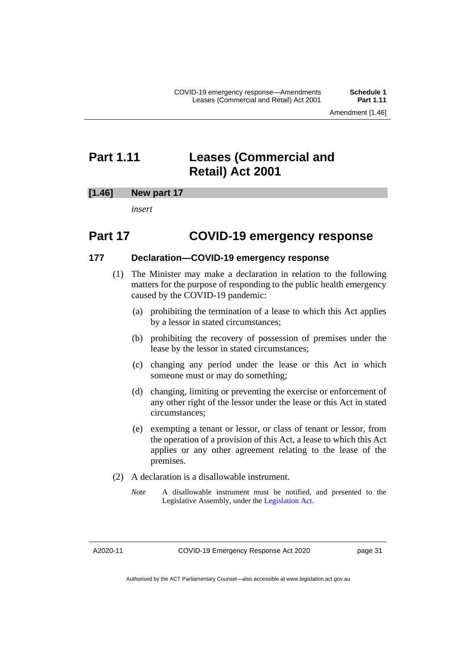### <span id="page-32-0"></span>**Part 1.11 Leases (Commercial and Retail) Act 2001**

#### **[1.46] New part 17**

*insert*

### **Part 17 COVID-19 emergency response**

#### **177 Declaration—COVID-19 emergency response**

- (1) The Minister may make a declaration in relation to the following matters for the purpose of responding to the public health emergency caused by the COVID-19 pandemic:
	- (a) prohibiting the termination of a lease to which this Act applies by a lessor in stated circumstances;
	- (b) prohibiting the recovery of possession of premises under the lease by the lessor in stated circumstances;
	- (c) changing any period under the lease or this Act in which someone must or may do something;
	- (d) changing, limiting or preventing the exercise or enforcement of any other right of the lessor under the lease or this Act in stated circumstances;
	- (e) exempting a tenant or lessor, or class of tenant or lessor, from the operation of a provision of this Act, a lease to which this Act applies or any other agreement relating to the lease of the premises.
- (2) A declaration is a disallowable instrument.
	- *Note* A disallowable instrument must be notified, and presented to the Legislative Assembly, under the [Legislation Act.](http://www.legislation.act.gov.au/a/2001-14)

A2020-11

Authorised by the ACT Parliamentary Counsel—also accessible at www.legislation.act.gov.au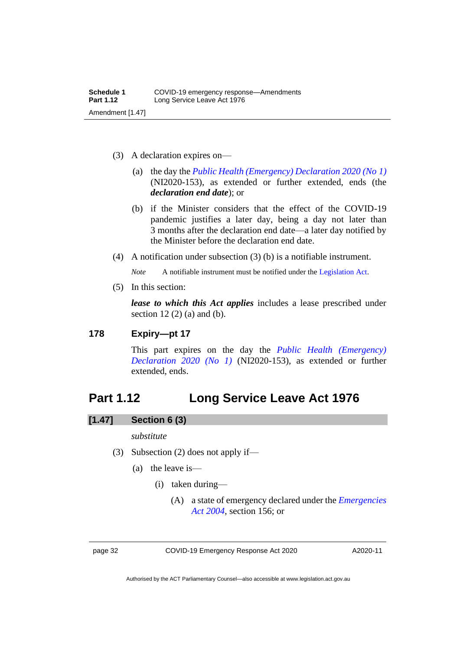- (3) A declaration expires on—
	- (a) the day the *[Public Health \(Emergency\) Declaration 2020 \(No](https://legislation.act.gov.au/ni/2020-153/) 1)* (NI2020-153), as extended or further extended, ends (the *declaration end date*); or
	- (b) if the Minister considers that the effect of the COVID-19 pandemic justifies a later day, being a day not later than 3 months after the declaration end date—a later day notified by the Minister before the declaration end date.
- (4) A notification under subsection (3) (b) is a notifiable instrument.

*Note* A notifiable instrument must be notified under the [Legislation Act.](http://www.legislation.act.gov.au/a/2001-14)

(5) In this section:

*lease to which this Act applies* includes a lease prescribed under section  $12(2)$  (a) and (b).

#### **178 Expiry—pt 17**

This part expires on the day the *[Public Health \(Emergency\)](https://legislation.act.gov.au/ni/2020-153/)  [Declaration 2020 \(No 1\)](https://legislation.act.gov.au/ni/2020-153/)* (NI2020-153), as extended or further extended, ends.

### <span id="page-33-0"></span>**Part 1.12 Long Service Leave Act 1976**

#### **[1.47] Section 6 (3)**

#### *substitute*

- (3) Subsection (2) does not apply if—
	- (a) the leave is—
		- (i) taken during—
			- (A) a state of emergency declared under the *[Emergencies](http://www.legislation.act.gov.au/a/2004-28)  Act [2004](http://www.legislation.act.gov.au/a/2004-28)*, section 156; or

page 32 COVID-19 Emergency Response Act 2020

A2020-11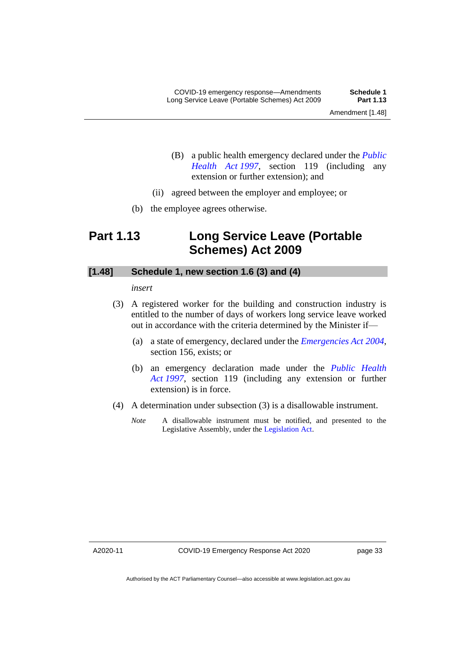- 
- (B) a public health emergency declared under the *[Public](http://www.legislation.act.gov.au/a/1997-69)  [Health Act](http://www.legislation.act.gov.au/a/1997-69) 1997*, section 119 (including any extension or further extension); and
- (ii) agreed between the employer and employee; or
- (b) the employee agrees otherwise.

# <span id="page-34-0"></span>**Part 1.13 Long Service Leave (Portable Schemes) Act 2009**

#### **[1.48] Schedule 1, new section 1.6 (3) and (4)**

*insert*

- (3) A registered worker for the building and construction industry is entitled to the number of days of workers long service leave worked out in accordance with the criteria determined by the Minister if—
	- (a) a state of emergency, declared under the *[Emergencies Act](http://www.legislation.act.gov.au/a/2004-28) 2004*, section 156, exists; or
	- (b) an emergency declaration made under the *[Public Health](http://www.legislation.act.gov.au/a/1997-69)  Act [1997](http://www.legislation.act.gov.au/a/1997-69)*, section 119 (including any extension or further extension) is in force.
- (4) A determination under subsection (3) is a disallowable instrument.
	- *Note* A disallowable instrument must be notified, and presented to the Legislative Assembly, under the [Legislation Act.](http://www.legislation.act.gov.au/a/2001-14)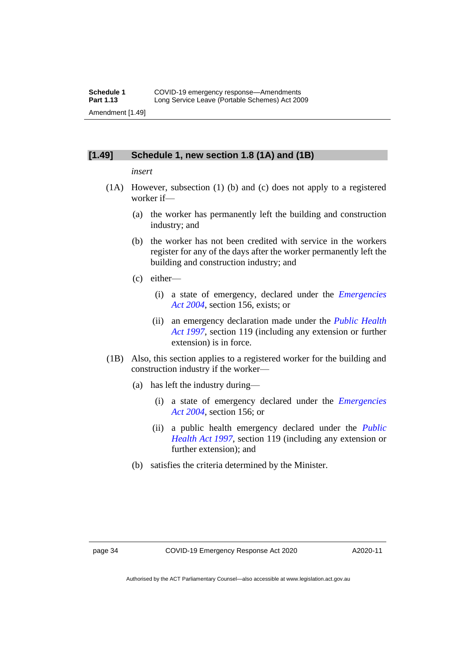#### **[1.49] Schedule 1, new section 1.8 (1A) and (1B)**

#### *insert*

- (1A) However, subsection (1) (b) and (c) does not apply to a registered worker if—
	- (a) the worker has permanently left the building and construction industry; and
	- (b) the worker has not been credited with service in the workers register for any of the days after the worker permanently left the building and construction industry; and
	- (c) either—
		- (i) a state of emergency, declared under the *[Emergencies](http://www.legislation.act.gov.au/a/2004-28)  Act [2004](http://www.legislation.act.gov.au/a/2004-28)*, section 156, exists; or
		- (ii) an emergency declaration made under the *[Public Health](http://www.legislation.act.gov.au/a/1997-69)  Act [1997](http://www.legislation.act.gov.au/a/1997-69)*, section 119 (including any extension or further extension) is in force.
- (1B) Also, this section applies to a registered worker for the building and construction industry if the worker—
	- (a) has left the industry during—
		- (i) a state of emergency declared under the *[Emergencies](http://www.legislation.act.gov.au/a/2004-28)  Act [2004](http://www.legislation.act.gov.au/a/2004-28)*, section 156; or
		- (ii) a public health emergency declared under the *[Public](http://www.legislation.act.gov.au/a/1997-69)  [Health Act](http://www.legislation.act.gov.au/a/1997-69) 1997*, section 119 (including any extension or further extension); and
	- (b) satisfies the criteria determined by the Minister.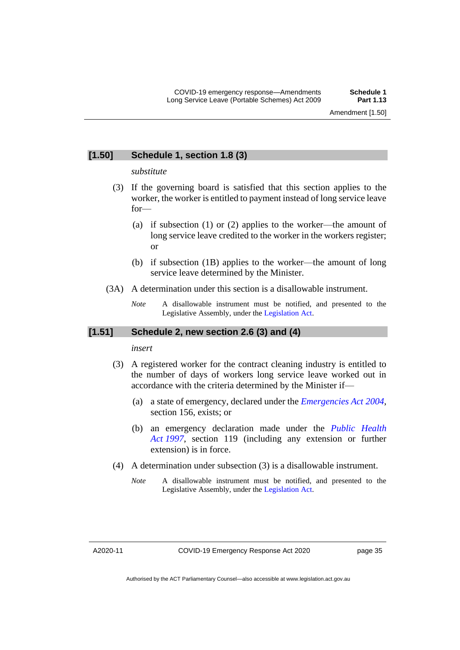#### **[1.50] Schedule 1, section 1.8 (3)**

#### *substitute*

- (3) If the governing board is satisfied that this section applies to the worker, the worker is entitled to payment instead of long service leave for—
	- (a) if subsection (1) or (2) applies to the worker—the amount of long service leave credited to the worker in the workers register; or
	- (b) if subsection (1B) applies to the worker—the amount of long service leave determined by the Minister.
- (3A) A determination under this section is a disallowable instrument.
	- *Note* A disallowable instrument must be notified, and presented to the Legislative Assembly, under the [Legislation Act.](http://www.legislation.act.gov.au/a/2001-14)

#### **[1.51] Schedule 2, new section 2.6 (3) and (4)**

#### *insert*

- (3) A registered worker for the contract cleaning industry is entitled to the number of days of workers long service leave worked out in accordance with the criteria determined by the Minister if—
	- (a) a state of emergency, declared under the *[Emergencies Act](http://www.legislation.act.gov.au/a/2004-28) 2004*, section 156, exists; or
	- (b) an emergency declaration made under the *[Public Health](http://www.legislation.act.gov.au/a/1997-69)  Act [1997](http://www.legislation.act.gov.au/a/1997-69)*, section 119 (including any extension or further extension) is in force.
- (4) A determination under subsection (3) is a disallowable instrument.
	- *Note* A disallowable instrument must be notified, and presented to the Legislative Assembly, under the [Legislation Act.](http://www.legislation.act.gov.au/a/2001-14)

A2020-11

Authorised by the ACT Parliamentary Counsel—also accessible at www.legislation.act.gov.au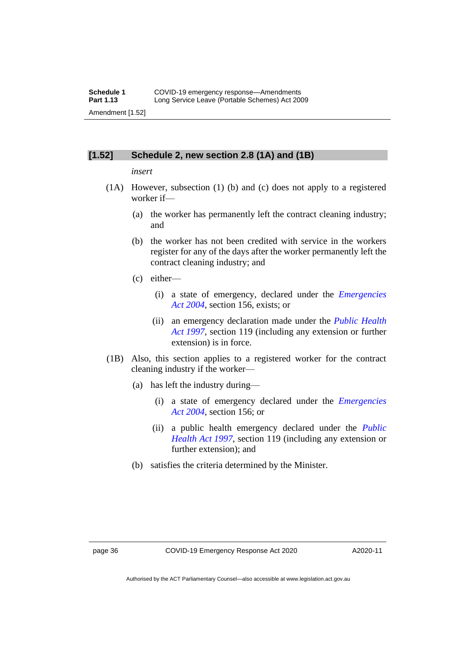#### **[1.52] Schedule 2, new section 2.8 (1A) and (1B)**

#### *insert*

- (1A) However, subsection (1) (b) and (c) does not apply to a registered worker if—
	- (a) the worker has permanently left the contract cleaning industry; and
	- (b) the worker has not been credited with service in the workers register for any of the days after the worker permanently left the contract cleaning industry; and
	- (c) either—
		- (i) a state of emergency, declared under the *[Emergencies](http://www.legislation.act.gov.au/a/2004-28)  Act [2004](http://www.legislation.act.gov.au/a/2004-28)*, section 156, exists; or
		- (ii) an emergency declaration made under the *[Public Health](http://www.legislation.act.gov.au/a/1997-69)  Act [1997](http://www.legislation.act.gov.au/a/1997-69)*, section 119 (including any extension or further extension) is in force.
- (1B) Also, this section applies to a registered worker for the contract cleaning industry if the worker—
	- (a) has left the industry during—
		- (i) a state of emergency declared under the *[Emergencies](http://www.legislation.act.gov.au/a/2004-28)  Act [2004](http://www.legislation.act.gov.au/a/2004-28)*, section 156; or
		- (ii) a public health emergency declared under the *[Public](http://www.legislation.act.gov.au/a/1997-69)  [Health Act](http://www.legislation.act.gov.au/a/1997-69) 1997*, section 119 (including any extension or further extension); and
	- (b) satisfies the criteria determined by the Minister.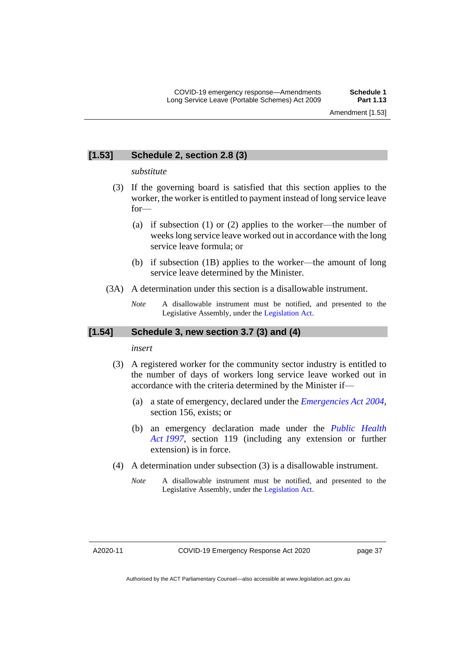#### **[1.53] Schedule 2, section 2.8 (3)**

#### *substitute*

- (3) If the governing board is satisfied that this section applies to the worker, the worker is entitled to payment instead of long service leave for—
	- (a) if subsection (1) or (2) applies to the worker—the number of weeks long service leave worked out in accordance with the long service leave formula; or
	- (b) if subsection (1B) applies to the worker—the amount of long service leave determined by the Minister.
- (3A) A determination under this section is a disallowable instrument.
	- *Note* A disallowable instrument must be notified, and presented to the Legislative Assembly, under the [Legislation Act.](http://www.legislation.act.gov.au/a/2001-14)

#### **[1.54] Schedule 3, new section 3.7 (3) and (4)**

#### *insert*

- (3) A registered worker for the community sector industry is entitled to the number of days of workers long service leave worked out in accordance with the criteria determined by the Minister if—
	- (a) a state of emergency, declared under the *[Emergencies Act](http://www.legislation.act.gov.au/a/2004-28) 2004*, section 156, exists; or
	- (b) an emergency declaration made under the *[Public Health](http://www.legislation.act.gov.au/a/1997-69)  Act [1997](http://www.legislation.act.gov.au/a/1997-69)*, section 119 (including any extension or further extension) is in force.
- (4) A determination under subsection (3) is a disallowable instrument.
	- *Note* A disallowable instrument must be notified, and presented to the Legislative Assembly, under the [Legislation Act.](http://www.legislation.act.gov.au/a/2001-14)

Authorised by the ACT Parliamentary Counsel—also accessible at www.legislation.act.gov.au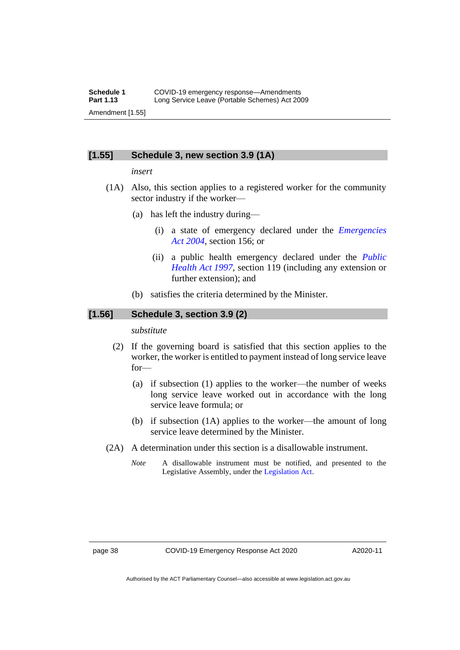#### **[1.55] Schedule 3, new section 3.9 (1A)**

#### *insert*

- (1A) Also, this section applies to a registered worker for the community sector industry if the worker—
	- (a) has left the industry during—
		- (i) a state of emergency declared under the *[Emergencies](http://www.legislation.act.gov.au/a/2004-28)  Act [2004](http://www.legislation.act.gov.au/a/2004-28)*, section 156; or
		- (ii) a public health emergency declared under the *[Public](http://www.legislation.act.gov.au/a/1997-69)  [Health Act](http://www.legislation.act.gov.au/a/1997-69) 1997*, section 119 (including any extension or further extension); and
	- (b) satisfies the criteria determined by the Minister.

#### **[1.56] Schedule 3, section 3.9 (2)**

#### *substitute*

- (2) If the governing board is satisfied that this section applies to the worker, the worker is entitled to payment instead of long service leave for—
	- (a) if subsection (1) applies to the worker—the number of weeks long service leave worked out in accordance with the long service leave formula; or
	- (b) if subsection (1A) applies to the worker—the amount of long service leave determined by the Minister.
- (2A) A determination under this section is a disallowable instrument.
	- *Note* A disallowable instrument must be notified, and presented to the Legislative Assembly, under the [Legislation Act.](http://www.legislation.act.gov.au/a/2001-14)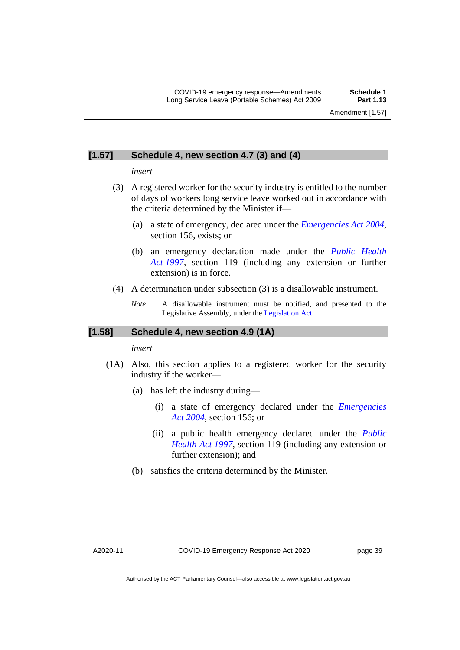#### **[1.57] Schedule 4, new section 4.7 (3) and (4)**

*insert*

- (3) A registered worker for the security industry is entitled to the number of days of workers long service leave worked out in accordance with the criteria determined by the Minister if—
	- (a) a state of emergency, declared under the *[Emergencies Act](http://www.legislation.act.gov.au/a/2004-28) 2004*, section 156, exists; or
	- (b) an emergency declaration made under the *[Public Health](http://www.legislation.act.gov.au/a/1997-69)  Act [1997](http://www.legislation.act.gov.au/a/1997-69)*, section 119 (including any extension or further extension) is in force.
- (4) A determination under subsection (3) is a disallowable instrument.
	- *Note* A disallowable instrument must be notified, and presented to the Legislative Assembly, under the [Legislation Act.](http://www.legislation.act.gov.au/a/2001-14)

#### **[1.58] Schedule 4, new section 4.9 (1A)**

*insert*

- (1A) Also, this section applies to a registered worker for the security industry if the worker—
	- (a) has left the industry during—
		- (i) a state of emergency declared under the *[Emergencies](http://www.legislation.act.gov.au/a/2004-28)  Act [2004](http://www.legislation.act.gov.au/a/2004-28)*, section 156; or
		- (ii) a public health emergency declared under the *[Public](http://www.legislation.act.gov.au/a/1997-69)  [Health Act](http://www.legislation.act.gov.au/a/1997-69) 1997*, section 119 (including any extension or further extension); and
	- (b) satisfies the criteria determined by the Minister.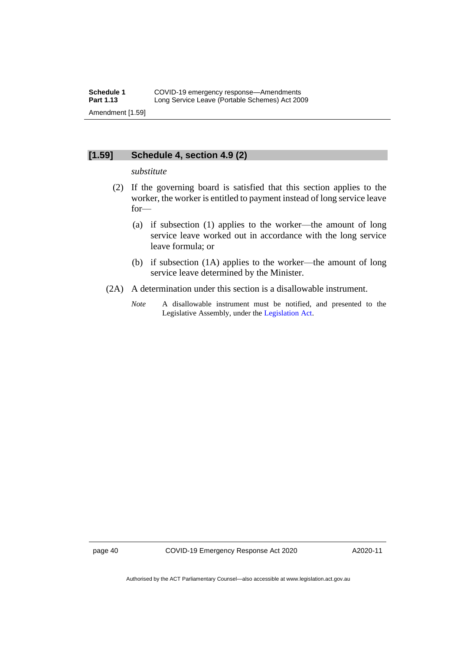#### **[1.59] Schedule 4, section 4.9 (2)**

#### *substitute*

- (2) If the governing board is satisfied that this section applies to the worker, the worker is entitled to payment instead of long service leave for—
	- (a) if subsection (1) applies to the worker—the amount of long service leave worked out in accordance with the long service leave formula; or
	- (b) if subsection (1A) applies to the worker—the amount of long service leave determined by the Minister.
- (2A) A determination under this section is a disallowable instrument.
	- *Note* A disallowable instrument must be notified, and presented to the Legislative Assembly, under the [Legislation Act.](http://www.legislation.act.gov.au/a/2001-14)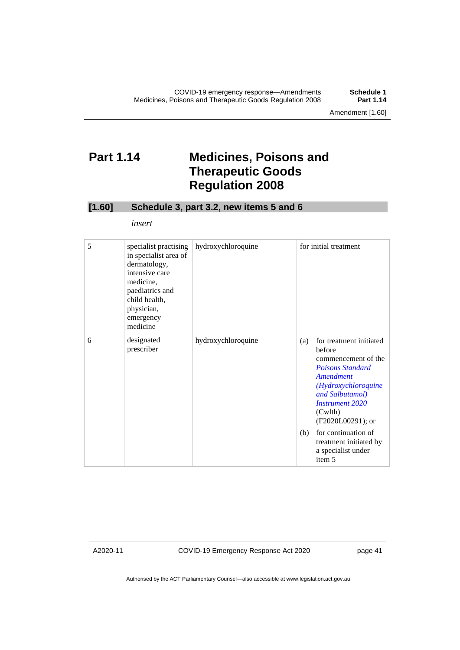# <span id="page-42-0"></span>**Part 1.14 Medicines, Poisons and Therapeutic Goods Regulation 2008**

#### **[1.60] Schedule 3, part 3.2, new items 5 and 6**

*insert*

| 5 | specialist practising<br>in specialist area of<br>dermatology,<br>intensive care<br>medicine,<br>paediatrics and<br>child health,<br>physician,<br>emergency<br>medicine | hydroxychloroquine |     | for initial treatment                                                                                                                                                                                |
|---|--------------------------------------------------------------------------------------------------------------------------------------------------------------------------|--------------------|-----|------------------------------------------------------------------------------------------------------------------------------------------------------------------------------------------------------|
| 6 | designated<br>prescriber                                                                                                                                                 | hydroxychloroquine | (a) | for treatment initiated<br>before<br>commencement of the<br><b>Poisons Standard</b><br>Amendment<br>(Hydroxychloroquine<br>and Salbutamol)<br><b>Instrument 2020</b><br>(Cwlth)<br>(F2020L00291); or |
|   |                                                                                                                                                                          |                    | (b) | for continuation of<br>treatment initiated by<br>a specialist under<br>item 5                                                                                                                        |

A2020-11

COVID-19 Emergency Response Act 2020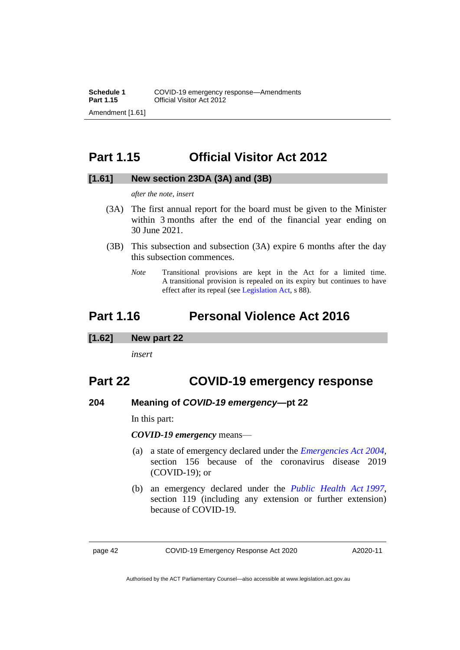# <span id="page-43-0"></span>**Part 1.15 Official Visitor Act 2012**

#### **[1.61] New section 23DA (3A) and (3B)**

*after the note, insert*

- (3A) The first annual report for the board must be given to the Minister within 3 months after the end of the financial year ending on 30 June 2021.
- (3B) This subsection and subsection (3A) expire 6 months after the day this subsection commences.
	- *Note* Transitional provisions are kept in the Act for a limited time. A transitional provision is repealed on its expiry but continues to have effect after its repeal (se[e Legislation Act,](http://www.legislation.act.gov.au/a/2001-14) s 88).

### <span id="page-43-1"></span>**Part 1.16 Personal Violence Act 2016**

#### **[1.62] New part 22**

*insert*

### **Part 22 COVID-19 emergency response**

#### **204 Meaning of** *COVID-19 emergency***—pt 22**

In this part:

*COVID-19 emergency* means—

- (a) a state of emergency declared under the *[Emergencies Act 2004,](http://www.legislation.act.gov.au/a/2004-28)*  section 156 because of the coronavirus disease 2019 (COVID-19); or
- (b) an emergency declared under the *[Public Health Act](http://www.legislation.act.gov.au/a/1997-69) 1997*, section 119 (including any extension or further extension) because of COVID-19.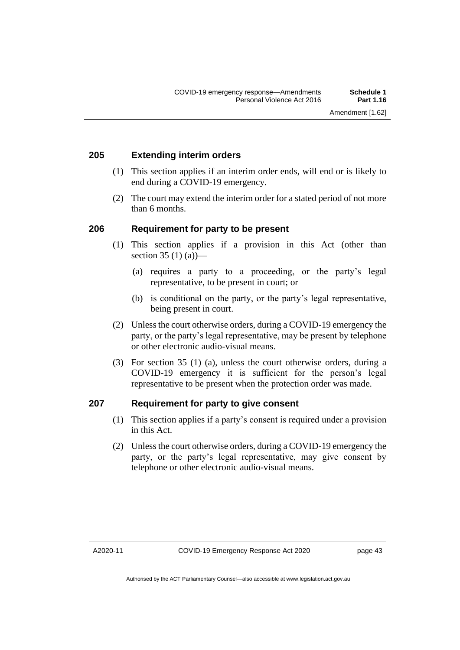#### **205 Extending interim orders**

- (1) This section applies if an interim order ends, will end or is likely to end during a COVID-19 emergency.
- (2) The court may extend the interim order for a stated period of not more than 6 months.

#### **206 Requirement for party to be present**

- (1) This section applies if a provision in this Act (other than section 35 (1) (a)
	- (a) requires a party to a proceeding, or the party's legal representative, to be present in court; or
	- (b) is conditional on the party, or the party's legal representative, being present in court.
- (2) Unless the court otherwise orders, during a COVID-19 emergency the party, or the party's legal representative, may be present by telephone or other electronic audio-visual means.
- (3) For section 35 (1) (a), unless the court otherwise orders, during a COVID-19 emergency it is sufficient for the person's legal representative to be present when the protection order was made.

#### **207 Requirement for party to give consent**

- (1) This section applies if a party's consent is required under a provision in this Act.
- (2) Unless the court otherwise orders, during a COVID-19 emergency the party, or the party's legal representative, may give consent by telephone or other electronic audio-visual means.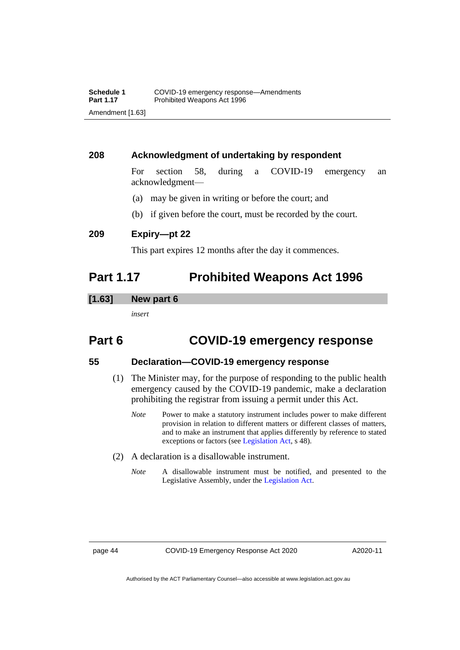#### **208 Acknowledgment of undertaking by respondent**

For section 58, during a COVID-19 emergency an acknowledgment—

- (a) may be given in writing or before the court; and
- (b) if given before the court, must be recorded by the court.

**209 Expiry—pt 22**

This part expires 12 months after the day it commences.

### <span id="page-45-0"></span>**Part 1.17 Prohibited Weapons Act 1996**

#### **[1.63] New part 6**

*insert*

### **Part 6 COVID-19 emergency response**

#### **55 Declaration—COVID-19 emergency response**

- (1) The Minister may, for the purpose of responding to the public health emergency caused by the COVID-19 pandemic, make a declaration prohibiting the registrar from issuing a permit under this Act.
	- *Note* Power to make a statutory instrument includes power to make different provision in relation to different matters or different classes of matters, and to make an instrument that applies differently by reference to stated exceptions or factors (see [Legislation Act,](http://www.legislation.act.gov.au/a/2001-14) s 48).
- (2) A declaration is a disallowable instrument.
	- *Note* A disallowable instrument must be notified, and presented to the Legislative Assembly, under the [Legislation Act.](http://www.legislation.act.gov.au/a/2001-14)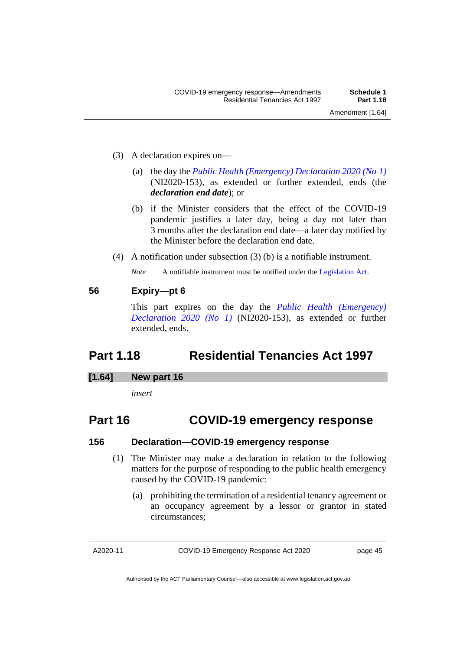- (3) A declaration expires on—
	- (a) the day the *[Public Health \(Emergency\) Declaration 2020 \(No](https://legislation.act.gov.au/ni/2020-153/) 1)* (NI2020-153), as extended or further extended, ends (the *declaration end date*); or
	- (b) if the Minister considers that the effect of the COVID-19 pandemic justifies a later day, being a day not later than 3 months after the declaration end date—a later day notified by the Minister before the declaration end date.
- (4) A notification under subsection (3) (b) is a notifiable instrument.

*Note* A notifiable instrument must be notified under the [Legislation Act.](http://www.legislation.act.gov.au/a/2001-14)

#### **56 Expiry—pt 6**

This part expires on the day the *[Public Health \(Emergency\)](https://legislation.act.gov.au/ni/2020-153/)  [Declaration 2020 \(No 1\)](https://legislation.act.gov.au/ni/2020-153/)* (NI2020-153), as extended or further extended, ends.

### <span id="page-46-0"></span>**Part 1.18 Residential Tenancies Act 1997**

#### **[1.64] New part 16**

*insert*

### **Part 16 COVID-19 emergency response**

#### **156 Declaration—COVID-19 emergency response**

- (1) The Minister may make a declaration in relation to the following matters for the purpose of responding to the public health emergency caused by the COVID-19 pandemic:
	- (a) prohibiting the termination of a residential tenancy agreement or an occupancy agreement by a lessor or grantor in stated circumstances;

A2020-11

COVID-19 Emergency Response Act 2020

Authorised by the ACT Parliamentary Counsel—also accessible at www.legislation.act.gov.au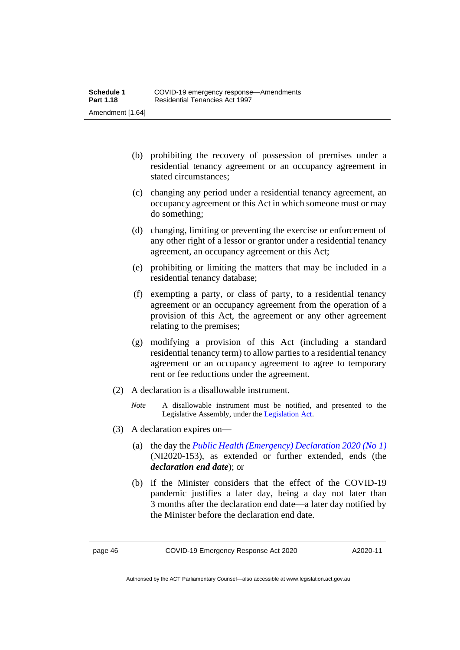- (b) prohibiting the recovery of possession of premises under a residential tenancy agreement or an occupancy agreement in stated circumstances;
- (c) changing any period under a residential tenancy agreement, an occupancy agreement or this Act in which someone must or may do something;
- (d) changing, limiting or preventing the exercise or enforcement of any other right of a lessor or grantor under a residential tenancy agreement, an occupancy agreement or this Act;
- (e) prohibiting or limiting the matters that may be included in a residential tenancy database;
- (f) exempting a party, or class of party, to a residential tenancy agreement or an occupancy agreement from the operation of a provision of this Act, the agreement or any other agreement relating to the premises;
- (g) modifying a provision of this Act (including a standard residential tenancy term) to allow parties to a residential tenancy agreement or an occupancy agreement to agree to temporary rent or fee reductions under the agreement.
- (2) A declaration is a disallowable instrument.
	- *Note* A disallowable instrument must be notified, and presented to the Legislative Assembly, under the [Legislation Act.](http://www.legislation.act.gov.au/a/2001-14)
- (3) A declaration expires on—
	- (a) the day the *[Public Health \(Emergency\) Declaration 2020 \(No](https://legislation.act.gov.au/ni/2020-153/) 1)* (NI2020-153), as extended or further extended, ends (the *declaration end date*); or
	- (b) if the Minister considers that the effect of the COVID-19 pandemic justifies a later day, being a day not later than 3 months after the declaration end date—a later day notified by the Minister before the declaration end date.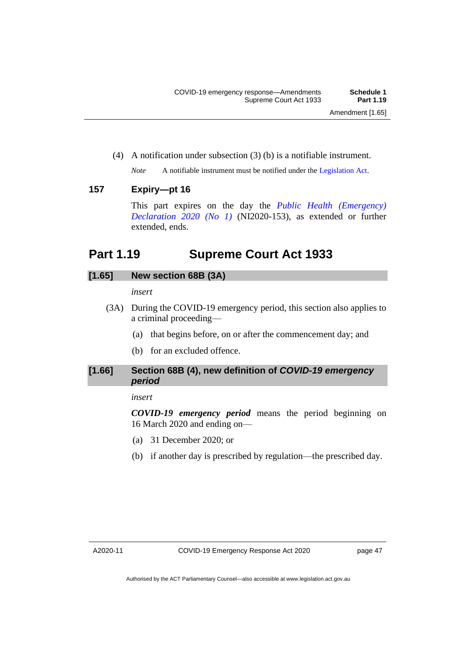(4) A notification under subsection (3) (b) is a notifiable instrument.

*Note* A notifiable instrument must be notified under the [Legislation Act.](http://www.legislation.act.gov.au/a/2001-14)

#### **157 Expiry—pt 16**

This part expires on the day the *[Public Health \(Emergency\)](https://legislation.act.gov.au/ni/2020-153/)  [Declaration 2020 \(No 1\)](https://legislation.act.gov.au/ni/2020-153/)* (NI2020-153), as extended or further extended, ends.

## <span id="page-48-0"></span>**Part 1.19 Supreme Court Act 1933**

#### **[1.65] New section 68B (3A)**

#### *insert*

- (3A) During the COVID-19 emergency period, this section also applies to a criminal proceeding—
	- (a) that begins before, on or after the commencement day; and
	- (b) for an excluded offence.

#### **[1.66] Section 68B (4), new definition of** *COVID-19 emergency period*

#### *insert*

*COVID-19 emergency period* means the period beginning on 16 March 2020 and ending on—

- (a) 31 December 2020; or
- (b) if another day is prescribed by regulation—the prescribed day.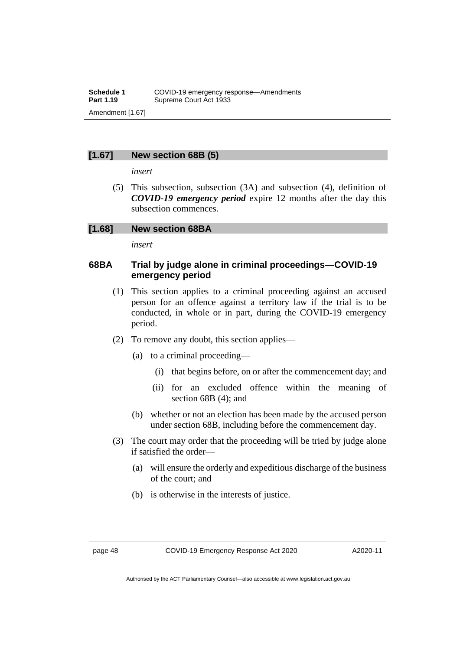#### **[1.67] New section 68B (5)**

*insert*

(5) This subsection, subsection (3A) and subsection (4), definition of *COVID-19 emergency period* expire 12 months after the day this subsection commences.

#### **[1.68] New section 68BA**

*insert*

#### **68BA Trial by judge alone in criminal proceedings—COVID-19 emergency period**

- (1) This section applies to a criminal proceeding against an accused person for an offence against a territory law if the trial is to be conducted, in whole or in part, during the COVID-19 emergency period.
- (2) To remove any doubt, this section applies—
	- (a) to a criminal proceeding—
		- (i) that begins before, on or after the commencement day; and
		- (ii) for an excluded offence within the meaning of section 68B (4); and
	- (b) whether or not an election has been made by the accused person under section 68B, including before the commencement day.
- (3) The court may order that the proceeding will be tried by judge alone if satisfied the order—
	- (a) will ensure the orderly and expeditious discharge of the business of the court; and
	- (b) is otherwise in the interests of justice.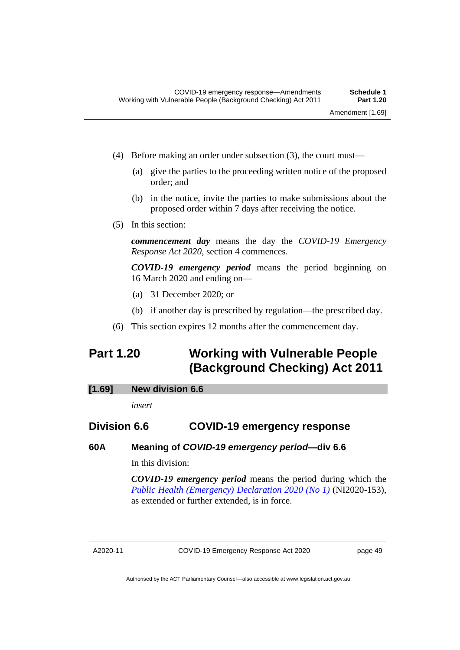- (4) Before making an order under subsection (3), the court must—
	- (a) give the parties to the proceeding written notice of the proposed order; and
	- (b) in the notice, invite the parties to make submissions about the proposed order within 7 days after receiving the notice.
- (5) In this section:

*commencement day* means the day the *COVID-19 Emergency Response Act 2020*, section 4 commences.

*COVID-19 emergency period* means the period beginning on 16 March 2020 and ending on—

- (a) 31 December 2020; or
- (b) if another day is prescribed by regulation—the prescribed day.
- (6) This section expires 12 months after the commencement day.

# <span id="page-50-0"></span>**Part 1.20 Working with Vulnerable People (Background Checking) Act 2011**

**[1.69] New division 6.6**

*insert*

#### **Division 6.6 COVID-19 emergency response**

**60A Meaning of** *COVID-19 emergency period***—div 6.6**

In this division:

*COVID-19 emergency period* means the period during which the *[Public Health \(Emergency\) Declaration 2020 \(No](https://legislation.act.gov.au/ni/2020-153/) 1)* (NI2020-153), as extended or further extended, is in force.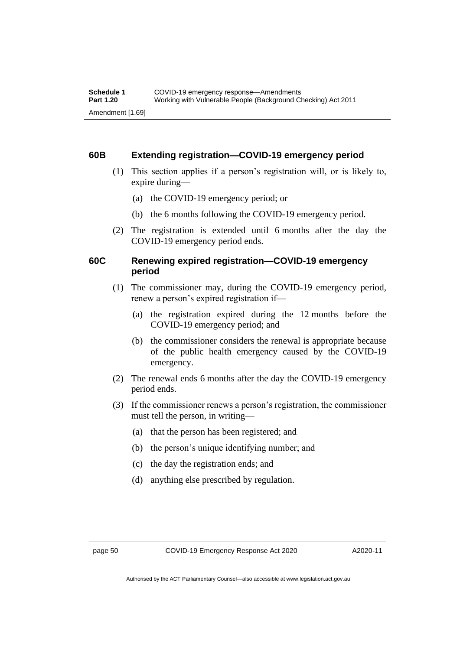#### **60B Extending registration—COVID-19 emergency period**

- (1) This section applies if a person's registration will, or is likely to, expire during—
	- (a) the COVID-19 emergency period; or
	- (b) the 6 months following the COVID-19 emergency period.
- (2) The registration is extended until 6 months after the day the COVID-19 emergency period ends.

#### **60C Renewing expired registration—COVID-19 emergency period**

- (1) The commissioner may, during the COVID-19 emergency period, renew a person's expired registration if—
	- (a) the registration expired during the 12 months before the COVID-19 emergency period; and
	- (b) the commissioner considers the renewal is appropriate because of the public health emergency caused by the COVID-19 emergency.
- (2) The renewal ends 6 months after the day the COVID-19 emergency period ends.
- (3) If the commissioner renews a person's registration, the commissioner must tell the person, in writing—
	- (a) that the person has been registered; and
	- (b) the person's unique identifying number; and
	- (c) the day the registration ends; and
	- (d) anything else prescribed by regulation.